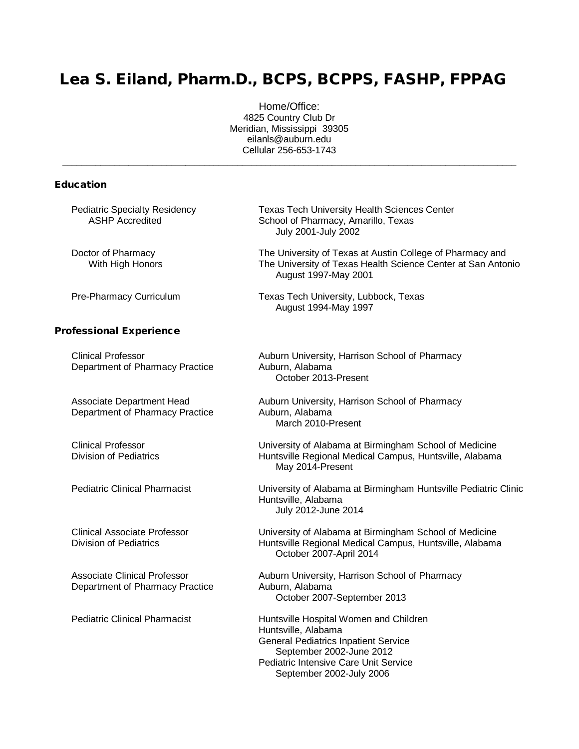# Lea S. Eiland, Pharm.D., BCPS, BCPPS, FASHP, FPPAG

Home/Office: 4825 Country Club Dr Meridian, Mississippi 39305 eilanls@auburn.edu Cellular 256-653-1743

 $\_$  ,  $\_$  ,  $\_$  ,  $\_$  ,  $\_$  ,  $\_$  ,  $\_$  ,  $\_$  ,  $\_$  ,  $\_$  ,  $\_$  ,  $\_$  ,  $\_$  ,  $\_$  ,  $\_$  ,  $\_$  ,  $\_$  ,  $\_$  ,  $\_$  ,  $\_$  ,  $\_$  ,  $\_$  ,  $\_$  ,  $\_$  ,  $\_$  ,  $\_$  ,  $\_$  ,  $\_$  ,  $\_$  ,  $\_$  ,  $\_$  ,  $\_$  ,  $\_$  ,  $\_$  ,  $\_$  ,  $\_$  ,  $\_$  ,

## Education

| <b>Pediatric Specialty Residency</b><br><b>ASHP Accredited</b>         | <b>Texas Tech University Health Sciences Center</b><br>School of Pharmacy, Amarillo, Texas<br>July 2001-July 2002                                                                                             |
|------------------------------------------------------------------------|---------------------------------------------------------------------------------------------------------------------------------------------------------------------------------------------------------------|
| Doctor of Pharmacy<br>With High Honors                                 | The University of Texas at Austin College of Pharmacy and<br>The University of Texas Health Science Center at San Antonio<br>August 1997-May 2001                                                             |
| Pre-Pharmacy Curriculum                                                | Texas Tech University, Lubbock, Texas<br>August 1994-May 1997                                                                                                                                                 |
| <b>Professional Experience</b>                                         |                                                                                                                                                                                                               |
| <b>Clinical Professor</b><br>Department of Pharmacy Practice           | Auburn University, Harrison School of Pharmacy<br>Auburn, Alabama<br>October 2013-Present                                                                                                                     |
| Associate Department Head<br>Department of Pharmacy Practice           | Auburn University, Harrison School of Pharmacy<br>Auburn, Alabama<br>March 2010-Present                                                                                                                       |
| <b>Clinical Professor</b><br><b>Division of Pediatrics</b>             | University of Alabama at Birmingham School of Medicine<br>Huntsville Regional Medical Campus, Huntsville, Alabama<br>May 2014-Present                                                                         |
| <b>Pediatric Clinical Pharmacist</b>                                   | University of Alabama at Birmingham Huntsville Pediatric Clinic<br>Huntsville, Alabama<br>July 2012-June 2014                                                                                                 |
| <b>Clinical Associate Professor</b><br><b>Division of Pediatrics</b>   | University of Alabama at Birmingham School of Medicine<br>Huntsville Regional Medical Campus, Huntsville, Alabama<br>October 2007-April 2014                                                                  |
| <b>Associate Clinical Professor</b><br>Department of Pharmacy Practice | Auburn University, Harrison School of Pharmacy<br>Auburn, Alabama<br>October 2007-September 2013                                                                                                              |
| <b>Pediatric Clinical Pharmacist</b>                                   | Huntsville Hospital Women and Children<br>Huntsville, Alabama<br><b>General Pediatrics Inpatient Service</b><br>September 2002-June 2012<br>Pediatric Intensive Care Unit Service<br>September 2002-July 2006 |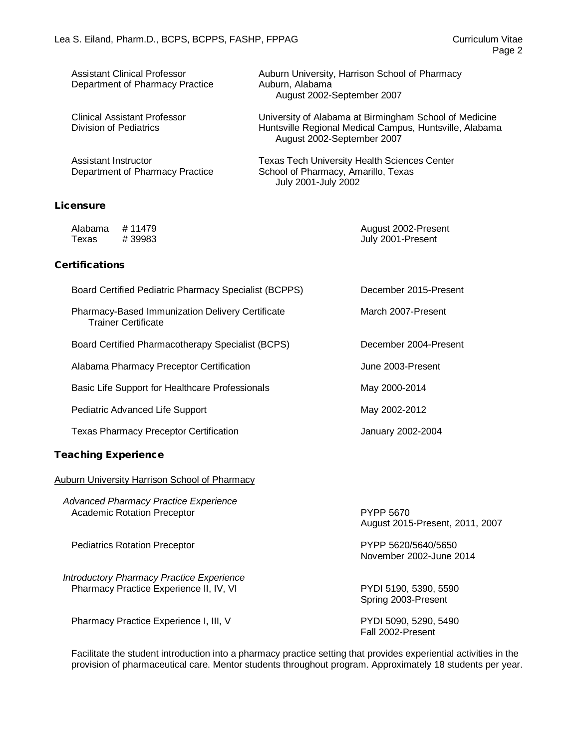| <b>Assistant Clinical Professor</b><br>Department of Pharmacy Practice | Auburn University, Harrison School of Pharmacy<br>Auburn, Alabama<br>August 2002-September 2007                                                 |
|------------------------------------------------------------------------|-------------------------------------------------------------------------------------------------------------------------------------------------|
| Clinical Assistant Professor<br>Division of Pediatrics                 | University of Alabama at Birmingham School of Medicine<br>Huntsville Regional Medical Campus, Huntsville, Alabama<br>August 2002-September 2007 |
| Assistant Instructor<br>Department of Pharmacy Practice                | <b>Texas Tech University Health Sciences Center</b><br>School of Pharmacy, Amarillo, Texas<br>July 2001-July 2002                               |
| Licensure                                                              |                                                                                                                                                 |
| Alabama<br>#11479<br>#39983<br>Texas                                   | August 2002-Present<br>July 2001-Present                                                                                                        |
| <b>Certifications</b>                                                  |                                                                                                                                                 |
| Board Certified Pediatric Pharmacy Specialist (BCPPS)                  | December 2015-Present                                                                                                                           |

Pharmacy-Based Immunization Delivery Certificate March 2007-Present Trainer Certificate

Board Certified Pharmacotherapy Specialist (BCPS) December 2004-Present

Alabama Pharmacy Preceptor Certification **Fig. 2003-Present** June 2003-Present

Basic Life Support for Healthcare Professionals May 2000-2014

Pediatric Advanced Life Support May 2002-2012

Texas Pharmacy Preceptor Certification **Fig. 2002-2004** January 2002-2004

## Teaching Experience

Auburn University Harrison School of Pharmacy

*Advanced Pharmacy Practice Experience* Academic Rotation Preceptor **PYPP 5670** 

Pediatrics Rotation Preceptor **PYPP 5620/5640/5650** 

*Introductory Pharmacy Practice Experience* Pharmacy Practice Experience II, IV, VI PHARMACK PYDI 5190, 5390, 5590

Pharmacy Practice Experience I, III, V PYDI 5090, 5290, 5490

August 2015-Present, 2011, 2007

November 2002-June 2014

Spring 2003-Present

Fall 2002-Present

Facilitate the student introduction into a pharmacy practice setting that provides experiential activities in the provision of pharmaceutical care. Mentor students throughout program. Approximately 18 students per year.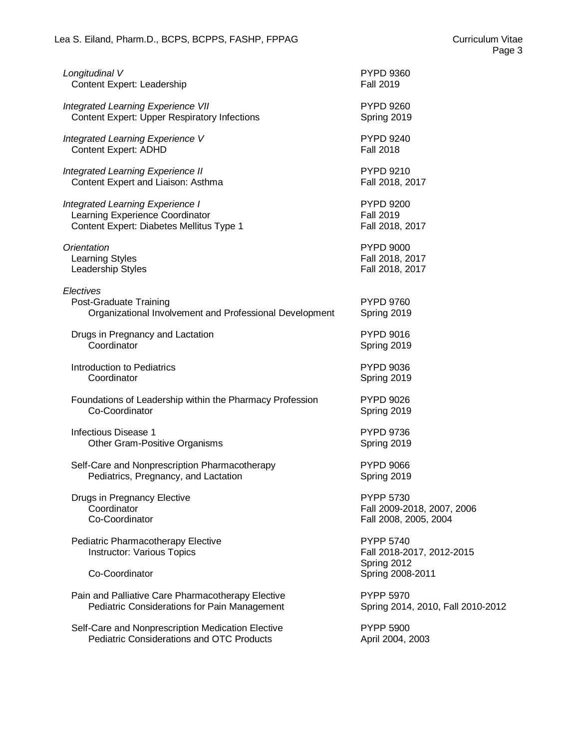| Longitudinal V                                                                                    | <b>PYPD 9360</b>                                             |
|---------------------------------------------------------------------------------------------------|--------------------------------------------------------------|
| Content Expert: Leadership                                                                        | <b>Fall 2019</b>                                             |
| <b>Integrated Learning Experience VII</b>                                                         | <b>PYPD 9260</b>                                             |
| <b>Content Expert: Upper Respiratory Infections</b>                                               | Spring 2019                                                  |
| Integrated Learning Experience V                                                                  | <b>PYPD 9240</b>                                             |
| <b>Content Expert: ADHD</b>                                                                       | <b>Fall 2018</b>                                             |
| Integrated Learning Experience II                                                                 | <b>PYPD 9210</b>                                             |
| Content Expert and Liaison: Asthma                                                                | Fall 2018, 2017                                              |
| <b>Integrated Learning Experience I</b>                                                           | <b>PYPD 9200</b>                                             |
| Learning Experience Coordinator                                                                   | <b>Fall 2019</b>                                             |
| Content Expert: Diabetes Mellitus Type 1                                                          | Fall 2018, 2017                                              |
| Orientation                                                                                       | <b>PYPD 9000</b>                                             |
| <b>Learning Styles</b>                                                                            | Fall 2018, 2017                                              |
| Leadership Styles                                                                                 | Fall 2018, 2017                                              |
| Electives<br>Post-Graduate Training<br>Organizational Involvement and Professional Development    | <b>PYPD 9760</b><br>Spring 2019                              |
| Drugs in Pregnancy and Lactation                                                                  | <b>PYPD 9016</b>                                             |
| Coordinator                                                                                       | Spring 2019                                                  |
| Introduction to Pediatrics                                                                        | <b>PYPD 9036</b>                                             |
| Coordinator                                                                                       | Spring 2019                                                  |
| Foundations of Leadership within the Pharmacy Profession                                          | <b>PYPD 9026</b>                                             |
| Co-Coordinator                                                                                    | Spring 2019                                                  |
| Infectious Disease 1                                                                              | <b>PYPD 9736</b>                                             |
| <b>Other Gram-Positive Organisms</b>                                                              | Spring 2019                                                  |
| Self-Care and Nonprescription Pharmacotherapy                                                     | <b>PYPD 9066</b>                                             |
| Pediatrics, Pregnancy, and Lactation                                                              | Spring 2019                                                  |
| Drugs in Pregnancy Elective                                                                       | PYPP 5730                                                    |
| Coordinator                                                                                       | Fall 2009-2018, 2007, 2006                                   |
| Co-Coordinator                                                                                    | Fall 2008, 2005, 2004                                        |
| Pediatric Pharmacotherapy Elective<br><b>Instructor: Various Topics</b>                           | <b>PYPP 5740</b><br>Fall 2018-2017, 2012-2015<br>Spring 2012 |
| Co-Coordinator                                                                                    | Spring 2008-2011<br><b>PYPP 5970</b>                         |
| Pain and Palliative Care Pharmacotherapy Elective<br>Pediatric Considerations for Pain Management | Spring 2014, 2010, Fall 2010-2012                            |
| Self-Care and Nonprescription Medication Elective                                                 | <b>PYPP 5900</b>                                             |
| <b>Pediatric Considerations and OTC Products</b>                                                  | April 2004, 2003                                             |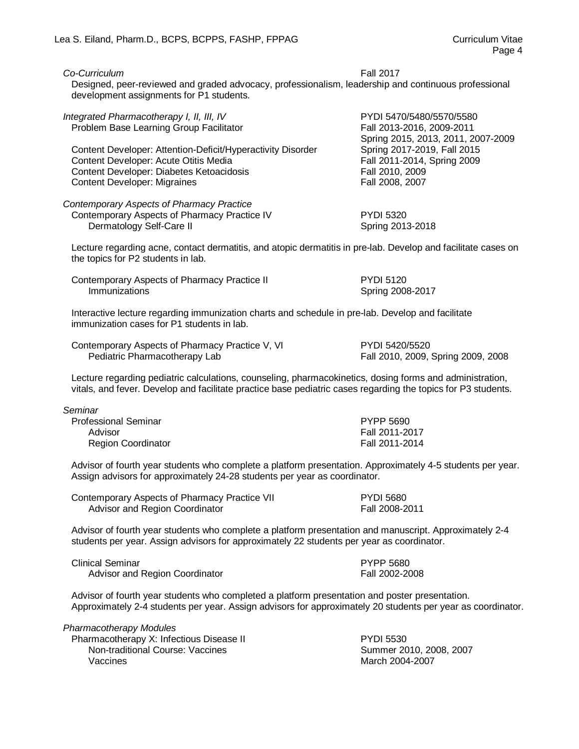#### *Co-Curriculum* Fall 2017

Designed, peer-reviewed and graded advocacy, professionalism, leadership and continuous professional development assignments for P1 students.

| Integrated Pharmacotherapy I, II, III, IV<br>Problem Base Learning Group Facilitator<br>Content Developer: Attention-Deficit/Hyperactivity Disorder<br>Content Developer: Acute Otitis Media<br>Content Developer: Diabetes Ketoacidosis<br>Content Developer: Migraines | PYDI 5470/5480/5570/5580<br>Fall 2013-2016, 2009-2011<br>Spring 2015, 2013, 2011, 2007-2009<br>Spring 2017-2019, Fall 2015<br>Fall 2011-2014, Spring 2009<br>Fall 2010, 2009<br>Fall 2008, 2007 |
|--------------------------------------------------------------------------------------------------------------------------------------------------------------------------------------------------------------------------------------------------------------------------|-------------------------------------------------------------------------------------------------------------------------------------------------------------------------------------------------|
| Contemporary Aspects of Pharmacy Practice<br>Contemporary Aspects of Pharmacy Practice IV<br>Dermatology Self-Care II                                                                                                                                                    | <b>PYDI 5320</b><br>Spring 2013-2018                                                                                                                                                            |
| Lecture regarding acne, contact dermatitis, and atopic dermatitis in pre-lab. Develop and facilitate cases on<br>the topics for P2 students in lab.                                                                                                                      |                                                                                                                                                                                                 |
| Contemporary Aspects of Pharmacy Practice II<br>Immunizations                                                                                                                                                                                                            | <b>PYDI 5120</b><br>Spring 2008-2017                                                                                                                                                            |
| Interactive lecture regarding immunization charts and schedule in pre-lab. Develop and facilitate<br>immunization cases for P1 students in lab.                                                                                                                          |                                                                                                                                                                                                 |
| Contemporary Aspects of Pharmacy Practice V, VI<br>Pediatric Pharmacotherapy Lab                                                                                                                                                                                         | PYDI 5420/5520<br>Fall 2010, 2009, Spring 2009, 2008                                                                                                                                            |
| Lecture regarding pediatric calculations, counseling, pharmacokinetics, dosing forms and administration,<br>vitals, and fever. Develop and facilitate practice base pediatric cases regarding the topics for P3 students.                                                |                                                                                                                                                                                                 |

*Seminar*

| ----------                |                |
|---------------------------|----------------|
| Professional Seminar      | PYPP 5690      |
| Advisor                   | Fall 2011-2017 |
| <b>Region Coordinator</b> | Fall 2011-2014 |

Advisor of fourth year students who complete a platform presentation. Approximately 4-5 students per year. Assign advisors for approximately 24-28 students per year as coordinator.

| Contemporary Aspects of Pharmacy Practice VII | <b>PYDI 5680</b> |
|-----------------------------------------------|------------------|
| Advisor and Region Coordinator                | Fall 2008-2011   |

Advisor of fourth year students who complete a platform presentation and manuscript. Approximately 2-4 students per year. Assign advisors for approximately 22 students per year as coordinator.

Clinical Seminar **PYPP** 5680 Advisor and Region Coordinator **Fall 2002-2008** 

Advisor of fourth year students who completed a platform presentation and poster presentation. Approximately 2-4 students per year. Assign advisors for approximately 20 students per year as coordinator.

| Pharmacotherapy Modules                  |                         |
|------------------------------------------|-------------------------|
| Pharmacotherapy X: Infectious Disease II | <b>PYDI 5530</b>        |
| Non-traditional Course: Vaccines         | Summer 2010, 2008, 2007 |
| Vaccines                                 | March 2004-2007         |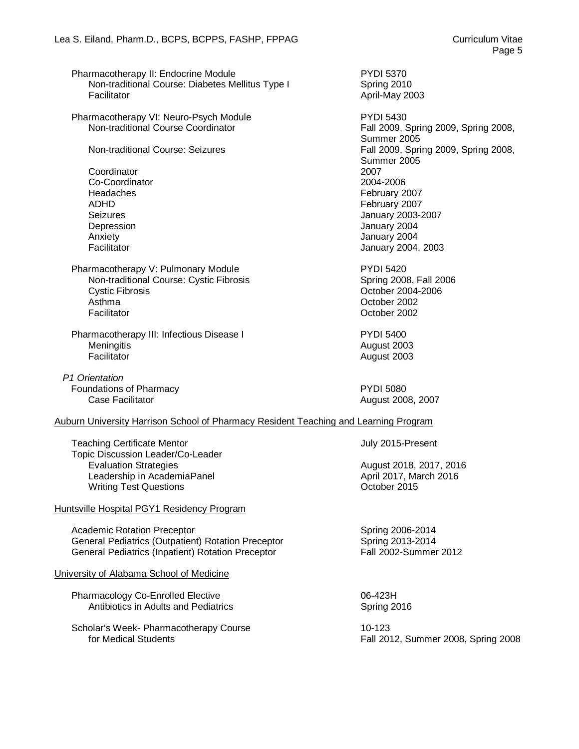Pharmacotherapy II: Endocrine Module PYDI 5370 Non-traditional Course: Diabetes Mellitus Type I Spring 2010<br>Facilitator Maril April-May 20 Pharmacotherapy VI: Neuro-Psych Module <br>Non-traditional Course Coordinator **PYDI 5430**<br>Fall 2009. S Non-traditional Course: Seizures **Fall 2009, Spring 2009, Spring 2008**, Spring 2008, Coordinator Co-Coordinator 2004-2006 Headaches February 2007<br>ADHD February 2007 Seizures **Seizures International Seizures** January 2003-2007<br>
Depression **Depression** Anxiety January 2004 Facilitator **Facilitator** January 2004, 2003 Pharmacotherapy V: Pulmonary Module PYDI 5420<br>
Non-traditional Course: Cystic Fibrosis Sprime 2008, Fall 2006 Non-traditional Course: Cystic Fibrosis<br>Cystic Fibrosis Cystic Fibrosis October 2004-2006 Asthma **Community Community Community Community** Community Community October 2002<br>
Pacilitator Pharmacotherapy III: Infectious Disease I PYDI 5400 Meningitis August 2003 *P1 Orientation* Foundations of Pharmacy **PYDI 5080**<br>Case Facilitator **PYDI 5080**<br>August 200 Auburn University Harrison School of Pharmacy Resident Teaching and Learning Program Teaching Certificate Mentor **July 2015-Present** Topic Discussion Leader/Co-Leader Leadership in AcademiaPanel **April 2017, March 2017, March 2017**, March 2017, March 2016<br>
Writing Test Questions **Writing Test Questions** 

#### Huntsville Hospital PGY1 Residency Program

Academic Rotation Preceptor<br>
General Pediatrics (Outpatient) Rotation Preceptor<br>
Spring 2013-2014 General Pediatrics (Outpatient) Rotation Preceptor General Pediatrics (Inpatient) Rotation Preceptor Fall 2002-Summer 2012

University of Alabama School of Medicine

Pharmacology Co-Enrolled Elective 06-423H Antibiotics in Adults and Pediatrics **Spring 2016** Spring 2016

Scholar's Week- Pharmacotherapy Course 10-123<br>10-123 for Medical Students

April-May 2003

Fall 2009, Spring 2009, Spring 2008, Summer 2005 Summer 2005<br>2007 February 2007 January 2004

October 2002

August 2003

August 2008, 2007

August 2018, 2017, 2016<br>April 2017, March 2016

Fall 2012, Summer 2008, Spring 2008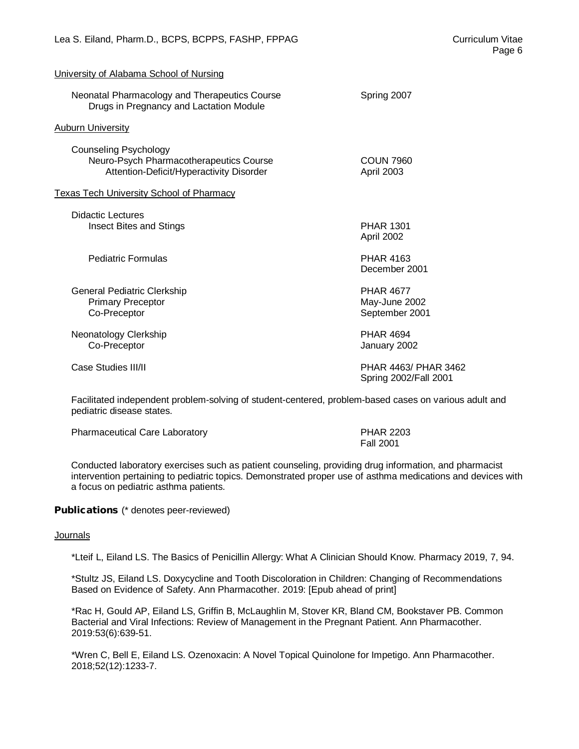## University of Alabama School of Nursing Neonatal Pharmacology and Therapeutics Course Spring 2007 Drugs in Pregnancy and Lactation Module Auburn University Counseling Psychology Neuro-Psych Pharmacotherapeutics Course<br>Attention-Deficit/Hyperactivity Disorder Manual April 2003 Attention-Deficit/Hyperactivity Disorder Texas Tech University School of Pharmacy Didactic Lectures Insect Bites and Stings **PHAR 1301** April 2002 Pediatric Formulas **PHAR 4163** December 2001 General Pediatric Clerkship **Containers and Containers Clerkship** PHAR 4677<br>Primary Preceptor **PHAR 4677** Primary Preceptor<br>Co-Preceptor September 2001 Neonatology Clerkship **PHAR 4694** Co-Preceptor January 2002 Case Studies III/II PHAR 4463/ PHAR 3462 Spring 2002/Fall 2001

Facilitated independent problem-solving of student-centered, problem-based cases on various adult and pediatric disease states.

Pharmaceutical Care Laboratory **PHAR 2203** 

Fall 2001

Conducted laboratory exercises such as patient counseling, providing drug information, and pharmacist intervention pertaining to pediatric topics. Demonstrated proper use of asthma medications and devices with a focus on pediatric asthma patients.

#### Publications (\* denotes peer-reviewed)

#### **Journals**

\*Lteif L, Eiland LS. The Basics of Penicillin Allergy: What A Clinician Should Know. Pharmacy 2019, 7, 94.

\*Stultz JS, Eiland LS. Doxycycline and Tooth Discoloration in Children: Changing of Recommendations Based on Evidence of Safety. Ann Pharmacother. 2019: [Epub ahead of print]

\*Rac H, Gould AP, Eiland LS, Griffin B, McLaughlin M, Stover KR, Bland CM, Bookstaver PB. Common Bacterial and Viral Infections: Review of Management in the Pregnant Patient. Ann Pharmacother. 2019:53(6):639-51.

\*Wren C, Bell E, Eiland LS. Ozenoxacin: A Novel Topical Quinolone for Impetigo. Ann Pharmacother. 2018;52(12):1233-7.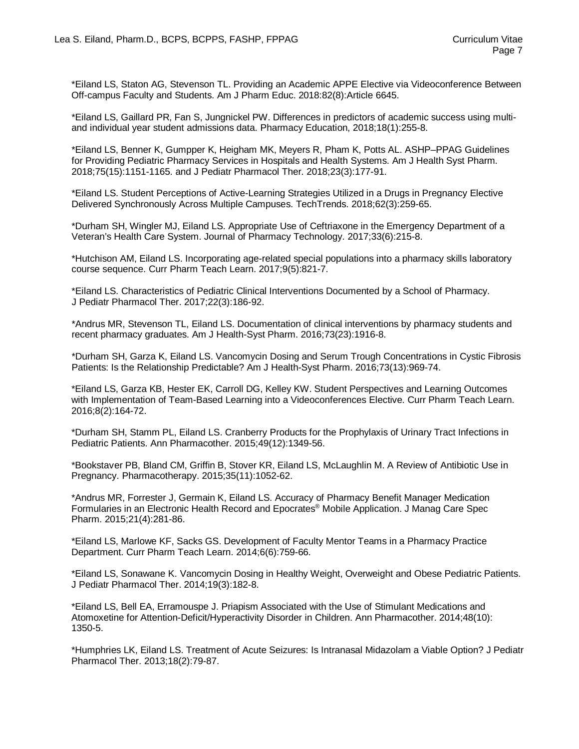\*Eiland LS, Staton AG, Stevenson TL. Providing an Academic APPE Elective via Videoconference Between Off-campus Faculty and Students. Am J Pharm Educ. 2018:82(8):Article 6645.

\*Eiland LS, Gaillard PR, Fan S, Jungnickel PW. Differences in predictors of academic success using multiand individual year student admissions data. Pharmacy Education, 2018;18(1):255-8.

\*Eiland LS, Benner K, Gumpper K, Heigham MK, Meyers R, Pham K, Potts AL. ASHP–PPAG Guidelines for Providing Pediatric Pharmacy Services in Hospitals and Health Systems. Am J Health Syst Pharm. 2018;75(15):1151-1165. and J Pediatr Pharmacol Ther. 2018;23(3):177-91.

\*Eiland LS. Student Perceptions of Active-Learning Strategies Utilized in a Drugs in Pregnancy Elective Delivered Synchronously Across Multiple Campuses. TechTrends. 2018;62(3):259-65.

\*Durham SH, Wingler MJ, Eiland LS. Appropriate Use of Ceftriaxone in the Emergency Department of a Veteran's Health Care System. Journal of Pharmacy Technology. 2017;33(6):215-8.

\*Hutchison AM, Eiland LS. Incorporating age-related special populations into a pharmacy skills laboratory course sequence. Curr Pharm Teach Learn. 2017;9(5):821-7.

\*Eiland LS. Characteristics of Pediatric Clinical Interventions Documented by a School of Pharmacy. J Pediatr Pharmacol Ther. 2017;22(3):186-92.

\*Andrus MR, Stevenson TL, Eiland LS. Documentation of clinical interventions by pharmacy students and recent pharmacy graduates. Am J Health-Syst Pharm. 2016;73(23):1916-8.

\*Durham SH, Garza K, Eiland LS. Vancomycin Dosing and Serum Trough Concentrations in Cystic Fibrosis Patients: Is the Relationship Predictable? Am J Health-Syst Pharm. 2016;73(13):969-74.

\*Eiland LS, Garza KB, Hester EK, Carroll DG, Kelley KW. Student Perspectives and Learning Outcomes with Implementation of Team-Based Learning into a Videoconferences Elective. Curr Pharm Teach Learn. 2016;8(2):164-72.

\*Durham SH, Stamm PL, Eiland LS. Cranberry Products for the Prophylaxis of Urinary Tract Infections in Pediatric Patients. Ann Pharmacother. 2015;49(12):1349-56.

\*Bookstaver PB, Bland CM, Griffin B, Stover KR, Eiland LS, McLaughlin M. A Review of Antibiotic Use in Pregnancy. Pharmacotherapy. 2015;35(11):1052-62.

\*Andrus MR, Forrester J, Germain K, Eiland LS. Accuracy of Pharmacy Benefit Manager Medication Formularies in an Electronic Health Record and Epocrates® Mobile Application. J Manag Care Spec Pharm. 2015;21(4):281-86.

\*Eiland LS, Marlowe KF, Sacks GS. Development of Faculty Mentor Teams in a Pharmacy Practice Department. Curr Pharm Teach Learn. 2014;6(6):759-66.

\*Eiland LS, Sonawane K. Vancomycin Dosing in Healthy Weight, Overweight and Obese Pediatric Patients. J Pediatr Pharmacol Ther. 2014;19(3):182-8.

\*Eiland LS, Bell EA, Erramouspe J. Priapism Associated with the Use of Stimulant Medications and Atomoxetine for Attention-Deficit/Hyperactivity Disorder in Children. Ann Pharmacother. 2014;48(10): 1350-5.

\*Humphries LK, Eiland LS. Treatment of Acute Seizures: Is Intranasal Midazolam a Viable Option? J Pediatr Pharmacol Ther. 2013;18(2):79-87.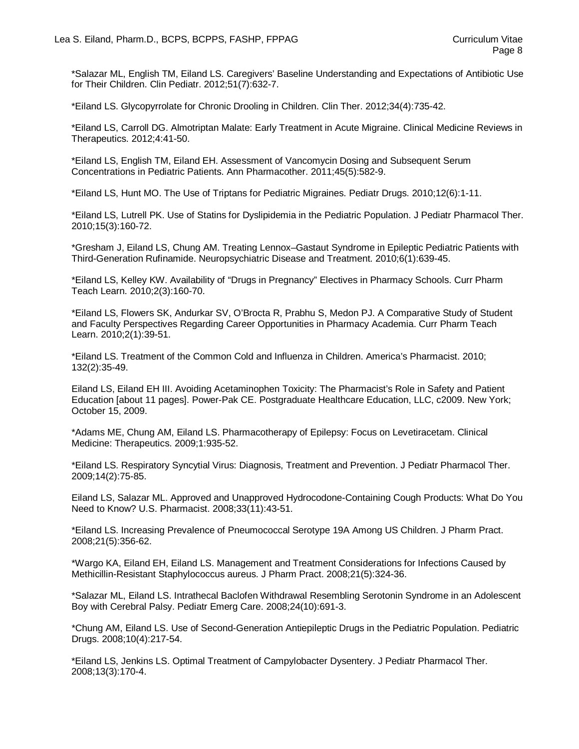\*Salazar ML, English TM, Eiland LS. Caregivers' Baseline Understanding and Expectations of Antibiotic Use for Their Children. Clin Pediatr. 2012;51(7):632-7.

\*Eiland LS. Glycopyrrolate for Chronic Drooling in Children. Clin Ther. 2012;34(4):735-42.

\*Eiland LS, Carroll DG. Almotriptan Malate: Early Treatment in Acute Migraine. Clinical Medicine Reviews in Therapeutics. 2012;4:41-50.

\*Eiland LS, English TM, Eiland EH. Assessment of Vancomycin Dosing and Subsequent Serum Concentrations in Pediatric Patients. Ann Pharmacother. 2011;45(5):582-9.

\*Eiland LS, Hunt MO. The Use of Triptans for Pediatric Migraines. Pediatr Drugs. 2010;12(6):1-11.

\*Eiland LS, Lutrell PK. Use of Statins for Dyslipidemia in the Pediatric Population. J Pediatr Pharmacol Ther. 2010;15(3):160-72.

\*Gresham J, Eiland LS, Chung AM. Treating Lennox–Gastaut Syndrome in Epileptic Pediatric Patients with Third-Generation Rufinamide. Neuropsychiatric Disease and Treatment. 2010;6(1):639-45.

\*Eiland LS, Kelley KW. Availability of "Drugs in Pregnancy" Electives in Pharmacy Schools. Curr Pharm Teach Learn. 2010;2(3):160-70.

\*Eiland LS, Flowers SK, Andurkar SV, O'Brocta R, Prabhu S, Medon PJ. A Comparative Study of Student and Faculty Perspectives Regarding Career Opportunities in Pharmacy Academia. Curr Pharm Teach Learn. 2010;2(1):39-51.

\*Eiland LS. Treatment of the Common Cold and Influenza in Children. America's Pharmacist. 2010; 132(2):35-49.

Eiland LS, Eiland EH III. Avoiding Acetaminophen Toxicity: The Pharmacist's Role in Safety and Patient Education [about 11 pages]. Power-Pak CE. Postgraduate Healthcare Education, LLC, c2009. New York; October 15, 2009.

\*Adams ME, Chung AM, Eiland LS. Pharmacotherapy of Epilepsy: Focus on Levetiracetam. Clinical Medicine: Therapeutics. 2009;1:935-52.

\*Eiland LS. Respiratory Syncytial Virus: Diagnosis, Treatment and Prevention. J Pediatr Pharmacol Ther. 2009;14(2):75-85.

Eiland LS, Salazar ML. Approved and Unapproved Hydrocodone-Containing Cough Products: What Do You Need to Know? U.S. Pharmacist. 2008;33(11):43-51.

\*Eiland LS. Increasing Prevalence of Pneumococcal Serotype 19A Among US Children. J Pharm Pract. 2008;21(5):356-62.

\*Wargo KA, Eiland EH, Eiland LS. Management and Treatment Considerations for Infections Caused by Methicillin-Resistant Staphylococcus aureus. J Pharm Pract. 2008;21(5):324-36.

\*Salazar ML, Eiland LS. Intrathecal Baclofen Withdrawal Resembling Serotonin Syndrome in an Adolescent Boy with Cerebral Palsy. Pediatr Emerg Care. 2008;24(10):691-3.

\*Chung AM, Eiland LS. Use of Second-Generation Antiepileptic Drugs in the Pediatric Population. Pediatric Drugs. 2008;10(4):217-54.

\*Eiland LS, Jenkins LS. Optimal Treatment of Campylobacter Dysentery. J Pediatr Pharmacol Ther. 2008;13(3):170-4.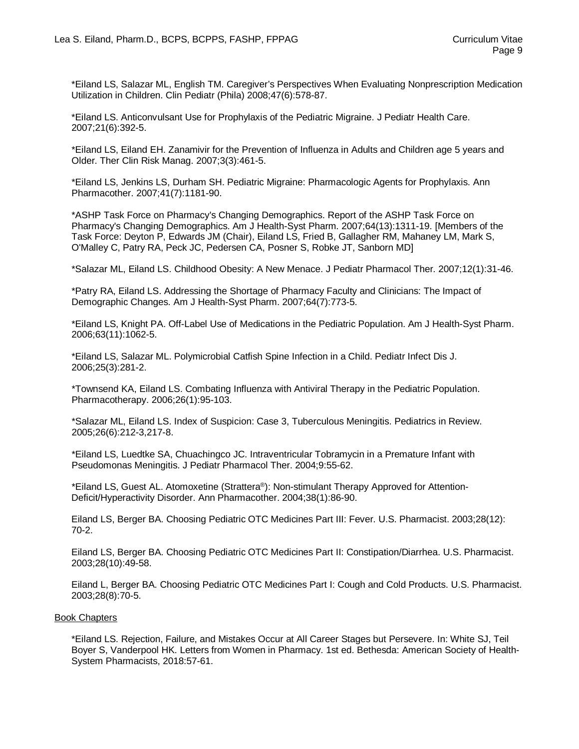\*Eiland LS, Salazar ML, English TM. Caregiver's Perspectives When Evaluating Nonprescription Medication Utilization in Children. Clin Pediatr (Phila) 2008;47(6):578-87.

\*Eiland LS. Anticonvulsant Use for Prophylaxis of the Pediatric Migraine. J Pediatr Health Care. 2007;21(6):392-5.

\*Eiland LS, Eiland EH. Zanamivir for the Prevention of Influenza in Adults and Children age 5 years and Older. Ther Clin Risk Manag. 2007;3(3):461-5.

\*Eiland LS, Jenkins LS, Durham SH. Pediatric Migraine: Pharmacologic Agents for Prophylaxis. Ann Pharmacother. 2007;41(7):1181-90.

\*ASHP Task Force on Pharmacy's Changing Demographics. Report of the ASHP Task Force on Pharmacy's Changing Demographics. Am J Health-Syst Pharm. 2007;64(13):1311-19. [Members of the Task Force: Deyton P, Edwards JM (Chair), Eiland LS, Fried B, Gallagher RM, Mahaney LM, Mark S, O'Malley C, Patry RA, Peck JC, Pedersen CA, Posner S, Robke JT, Sanborn MD]

\*Salazar ML, Eiland LS. Childhood Obesity: A New Menace. J Pediatr Pharmacol Ther. 2007;12(1):31-46.

\*Patry RA, Eiland LS. Addressing the Shortage of Pharmacy Faculty and Clinicians: The Impact of Demographic Changes. Am J Health-Syst Pharm. 2007;64(7):773-5.

\*Eiland LS, Knight PA. Off-Label Use of Medications in the Pediatric Population. Am J Health-Syst Pharm. 2006;63(11):1062-5.

\*Eiland LS, Salazar ML. Polymicrobial Catfish Spine Infection in a Child. Pediatr Infect Dis J. 2006;25(3):281-2.

\*Townsend KA, Eiland LS. Combating Influenza with Antiviral Therapy in the Pediatric Population. Pharmacotherapy. 2006;26(1):95-103.

\*Salazar ML, Eiland LS. Index of Suspicion: Case 3, Tuberculous Meningitis. Pediatrics in Review. 2005;26(6):212-3,217-8.

\*Eiland LS, Luedtke SA, Chuachingco JC. Intraventricular Tobramycin in a Premature Infant with Pseudomonas Meningitis. J Pediatr Pharmacol Ther. 2004;9:55-62.

\*Eiland LS, Guest AL. Atomoxetine (Strattera®): Non-stimulant Therapy Approved for Attention-Deficit/Hyperactivity Disorder. Ann Pharmacother. 2004;38(1):86-90.

Eiland LS, Berger BA. Choosing Pediatric OTC Medicines Part III: Fever. U.S. Pharmacist. 2003;28(12): 70-2.

Eiland LS, Berger BA. Choosing Pediatric OTC Medicines Part II: Constipation/Diarrhea. U.S. Pharmacist. 2003;28(10):49-58.

Eiland L, Berger BA. Choosing Pediatric OTC Medicines Part I: Cough and Cold Products. U.S. Pharmacist. 2003;28(8):70-5.

#### Book Chapters

\*Eiland LS. Rejection, Failure, and Mistakes Occur at All Career Stages but Persevere. In: White SJ, Teil Boyer S, Vanderpool HK. Letters from Women in Pharmacy. 1st ed. Bethesda: American Society of Health-System Pharmacists, 2018:57-61.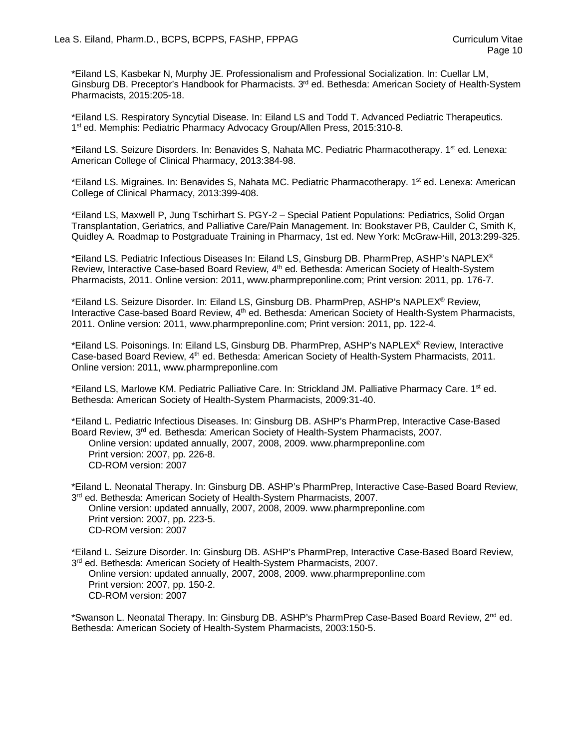\*Eiland LS, Kasbekar N, Murphy JE. Professionalism and Professional Socialization. In: Cuellar LM, Ginsburg DB. Preceptor's Handbook for Pharmacists. 3<sup>rd</sup> ed. Bethesda: American Society of Health-System Pharmacists, 2015:205-18.

\*Eiland LS. Respiratory Syncytial Disease. In: Eiland LS and Todd T. Advanced Pediatric Therapeutics. 1st ed. Memphis: Pediatric Pharmacy Advocacy Group/Allen Press, 2015:310-8.

\*Eiland LS. Seizure Disorders. In: Benavides S, Nahata MC. Pediatric Pharmacotherapy. 1<sup>st</sup> ed. Lenexa: American College of Clinical Pharmacy, 2013:384-98.

\*Eiland LS. Migraines. In: Benavides S, Nahata MC. Pediatric Pharmacotherapy. 1st ed. Lenexa: American College of Clinical Pharmacy, 2013:399-408.

\*Eiland LS, Maxwell P, Jung Tschirhart S. PGY-2 – Special Patient Populations: Pediatrics, Solid Organ Transplantation, Geriatrics, and Palliative Care/Pain Management. In: Bookstaver PB, Caulder C, Smith K, Quidley A. Roadmap to Postgraduate Training in Pharmacy, 1st ed. New York: McGraw-Hill, 2013:299-325.

\*Eiland LS. Pediatric Infectious Diseases In: Eiland LS, Ginsburg DB. PharmPrep, ASHP's NAPLEX® Review, Interactive Case-based Board Review, 4th ed. Bethesda: American Society of Health-System Pharmacists, 2011. Online version: 2011, www.pharmpreponline.com; Print version: 2011, pp. 176-7.

\*Eiland LS. Seizure Disorder. In: Eiland LS, Ginsburg DB. PharmPrep, ASHP's NAPLEX® Review, Interactive Case-based Board Review, 4<sup>th</sup> ed. Bethesda: American Society of Health-System Pharmacists, 2011. Online version: 2011, www.pharmpreponline.com; Print version: 2011, pp. 122-4.

\*Eiland LS. Poisonings. In: Eiland LS, Ginsburg DB. PharmPrep, ASHP's NAPLEX® Review, Interactive Case-based Board Review, 4th ed. Bethesda: American Society of Health-System Pharmacists, 2011. Online version: 2011, www.pharmpreponline.com

\*Eiland LS, Marlowe KM. Pediatric Palliative Care. In: Strickland JM. Palliative Pharmacy Care. 1st ed. Bethesda: American Society of Health-System Pharmacists, 2009:31-40.

\*Eiland L. Pediatric Infectious Diseases. In: Ginsburg DB. ASHP's PharmPrep, Interactive Case-Based Board Review, 3<sup>rd</sup> ed. Bethesda: American Society of Health-System Pharmacists, 2007. Online version: updated annually, 2007, 2008, 2009. www.pharmpreponline.com Print version: 2007, pp. 226-8. CD-ROM version: 2007

\*Eiland L. Neonatal Therapy. In: Ginsburg DB. ASHP's PharmPrep, Interactive Case-Based Board Review, 3<sup>rd</sup> ed. Bethesda: American Society of Health-System Pharmacists, 2007. Online version: updated annually, 2007, 2008, 2009. www.pharmpreponline.com Print version: 2007, pp. 223-5. CD-ROM version: 2007

\*Eiland L. Seizure Disorder. In: Ginsburg DB. ASHP's PharmPrep, Interactive Case-Based Board Review, 3<sup>rd</sup> ed. Bethesda: American Society of Health-System Pharmacists, 2007.

Online version: updated annually, 2007, 2008, 2009. www.pharmpreponline.com Print version: 2007, pp. 150-2. CD-ROM version: 2007

\*Swanson L. Neonatal Therapy. In: Ginsburg DB. ASHP's PharmPrep Case-Based Board Review, 2nd ed. Bethesda: American Society of Health-System Pharmacists, 2003:150-5.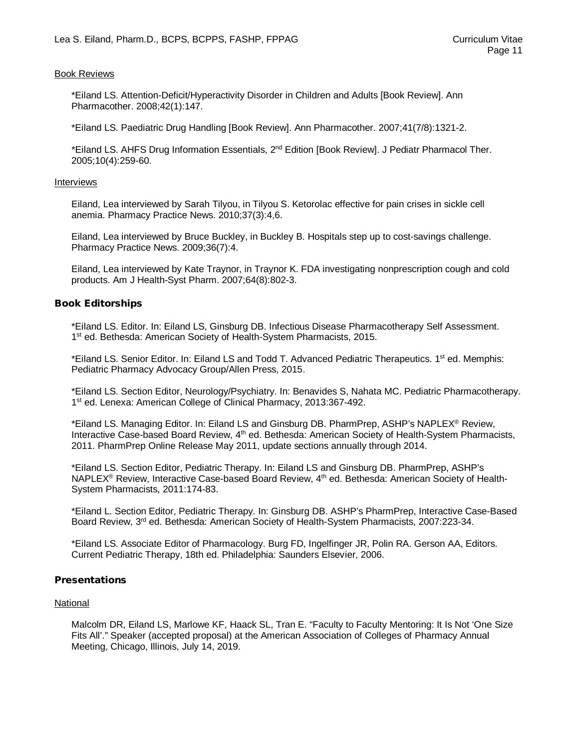#### Book Reviews

\*Eiland LS. Attention-Deficit/Hyperactivity Disorder in Children and Adults [Book Review]. Ann Pharmacother. 2008;42(1):147.

\*Eiland LS. Paediatric Drug Handling [Book Review]. Ann Pharmacother. 2007;41(7/8):1321-2.

\*Eiland LS. AHFS Drug Information Essentials, 2<sup>nd</sup> Edition [Book Review]. J Pediatr Pharmacol Ther. 2005;10(4):259-60.

#### Interviews

Eiland, Lea interviewed by Sarah Tilyou, in Tilyou S. Ketorolac effective for pain crises in sickle cell anemia. Pharmacy Practice News. 2010;37(3):4,6.

Eiland, Lea interviewed by Bruce Buckley, in Buckley B. Hospitals step up to cost-savings challenge. Pharmacy Practice News. 2009;36(7):4.

Eiland, Lea interviewed by Kate Traynor, in Traynor K. FDA investigating nonprescription cough and cold products. Am J Health-Syst Pharm. 2007;64(8):802-3.

#### Book Editorships

\*Eiland LS. Editor. In: Eiland LS, Ginsburg DB. Infectious Disease Pharmacotherapy Self Assessment. 1<sup>st</sup> ed. Bethesda: American Society of Health-System Pharmacists, 2015.

\*Eiland LS. Senior Editor. In: Eiland LS and Todd T. Advanced Pediatric Therapeutics. 1st ed. Memphis: Pediatric Pharmacy Advocacy Group/Allen Press, 2015.

\*Eiland LS. Section Editor, Neurology/Psychiatry. In: Benavides S, Nahata MC. Pediatric Pharmacotherapy. 1<sup>st</sup> ed. Lenexa: American College of Clinical Pharmacy, 2013:367-492.

\*Eiland LS. Managing Editor. In: Eiland LS and Ginsburg DB. PharmPrep, ASHP's NAPLEX® Review, Interactive Case-based Board Review, 4<sup>th</sup> ed. Bethesda: American Society of Health-System Pharmacists, 2011. PharmPrep Online Release May 2011, update sections annually through 2014.

\*Eiland LS. Section Editor, Pediatric Therapy. In: Eiland LS and Ginsburg DB. PharmPrep, ASHP's NAPLEX<sup>®</sup> Review, Interactive Case-based Board Review, 4<sup>th</sup> ed. Bethesda: American Society of Health-System Pharmacists, 2011:174-83.

\*Eiland L. Section Editor, Pediatric Therapy. In: Ginsburg DB. ASHP's PharmPrep, Interactive Case-Based Board Review, 3rd ed. Bethesda: American Society of Health-System Pharmacists, 2007:223-34.

\*Eiland LS. Associate Editor of Pharmacology. Burg FD, Ingelfinger JR, Polin RA. Gerson AA, Editors. Current Pediatric Therapy, 18th ed. Philadelphia: Saunders Elsevier, 2006.

#### **Presentations**

#### National

Malcolm DR, Eiland LS, Marlowe KF, Haack SL, Tran E. "Faculty to Faculty Mentoring: It Is Not 'One Size Fits All'." Speaker (accepted proposal) at the American Association of Colleges of Pharmacy Annual Meeting, Chicago, Illinois, July 14, 2019.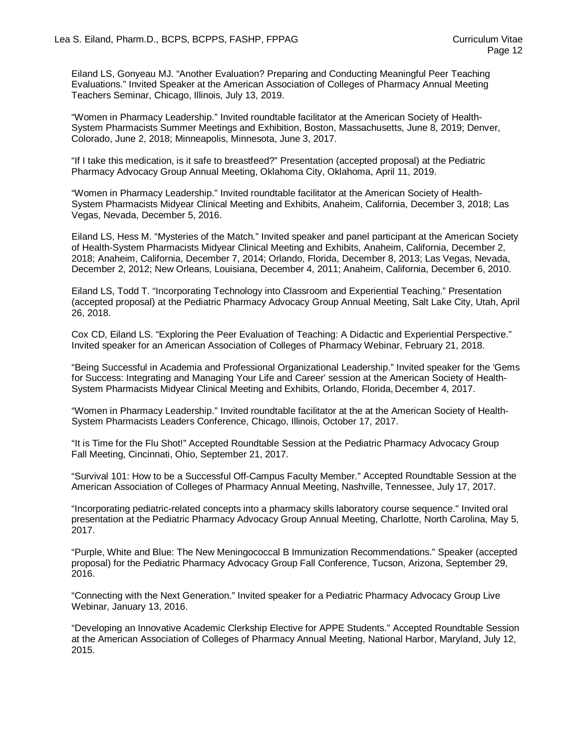Eiland LS, Gonyeau MJ. "Another Evaluation? Preparing and Conducting Meaningful Peer Teaching Evaluations." Invited Speaker at the American Association of Colleges of Pharmacy Annual Meeting Teachers Seminar, Chicago, Illinois, July 13, 2019.

"Women in Pharmacy Leadership." Invited roundtable facilitator at the American Society of Health-System Pharmacists Summer Meetings and Exhibition, Boston, Massachusetts, June 8, 2019; Denver, Colorado, June 2, 2018; Minneapolis, Minnesota, June 3, 2017.

"If I take this medication, is it safe to breastfeed?" Presentation (accepted proposal) at the Pediatric Pharmacy Advocacy Group Annual Meeting, Oklahoma City, Oklahoma, April 11, 2019.

"Women in Pharmacy Leadership." Invited roundtable facilitator at the American Society of Health-System Pharmacists Midyear Clinical Meeting and Exhibits, Anaheim, California, December 3, 2018; Las Vegas, Nevada, December 5, 2016.

Eiland LS, Hess M. "Mysteries of the Match." Invited speaker and panel participant at the American Society of Health-System Pharmacists Midyear Clinical Meeting and Exhibits, Anaheim, California, December 2, 2018; Anaheim, California, December 7, 2014; Orlando, Florida, December 8, 2013; Las Vegas, Nevada, December 2, 2012; New Orleans, Louisiana, December 4, 2011; Anaheim, California, December 6, 2010.

Eiland LS, Todd T. "Incorporating Technology into Classroom and Experiential Teaching." Presentation (accepted proposal) at the Pediatric Pharmacy Advocacy Group Annual Meeting, Salt Lake City, Utah, April 26, 2018.

Cox CD, Eiland LS. "Exploring the Peer Evaluation of Teaching: A Didactic and Experiential Perspective." Invited speaker for an American Association of Colleges of Pharmacy Webinar, February 21, 2018.

"Being Successful in Academia and Professional Organizational Leadership." Invited speaker for the 'Gems for Success: Integrating and Managing Your Life and Career' session at the American Society of Health-System Pharmacists Midyear Clinical Meeting and Exhibits, Orlando, Florida, December 4, 2017.

"Women in Pharmacy Leadership." Invited roundtable facilitator at the at the American Society of Health-System Pharmacists Leaders Conference, Chicago, Illinois, October 17, 2017.

"It is Time for the Flu Shot!" Accepted Roundtable Session at the Pediatric Pharmacy Advocacy Group Fall Meeting, Cincinnati, Ohio, September 21, 2017.

"Survival 101: How to be a Successful Off-Campus Faculty Member." Accepted Roundtable Session at the American Association of Colleges of Pharmacy Annual Meeting, Nashville, Tennessee, July 17, 2017.

"Incorporating pediatric-related concepts into a pharmacy skills laboratory course sequence." Invited oral presentation at the Pediatric Pharmacy Advocacy Group Annual Meeting, Charlotte, North Carolina, May 5, 2017.

"Purple, White and Blue: The New Meningococcal B Immunization Recommendations." Speaker (accepted proposal) for the Pediatric Pharmacy Advocacy Group Fall Conference, Tucson, Arizona, September 29, 2016.

"Connecting with the Next Generation." Invited speaker for a Pediatric Pharmacy Advocacy Group Live Webinar, January 13, 2016.

"Developing an Innovative Academic Clerkship Elective for APPE Students." Accepted Roundtable Session at the American Association of Colleges of Pharmacy Annual Meeting, National Harbor, Maryland, July 12, 2015.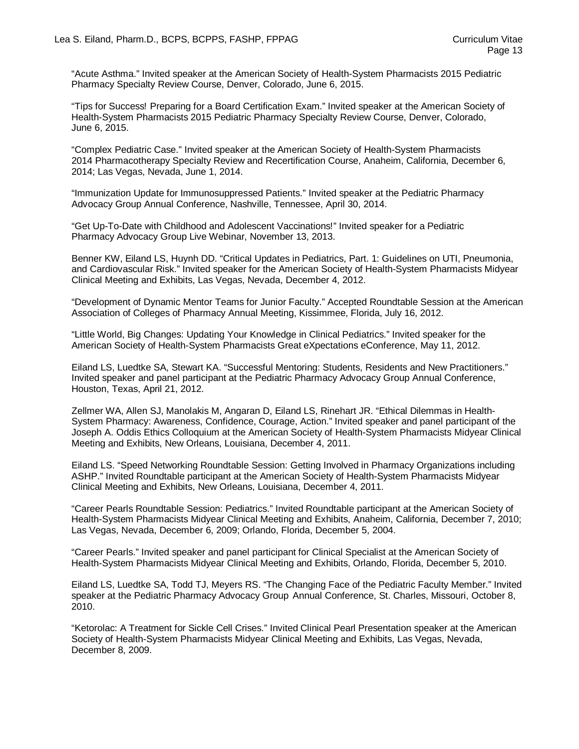"Acute Asthma." Invited speaker at the American Society of Health-System Pharmacists 2015 Pediatric Pharmacy Specialty Review Course, Denver, Colorado, June 6, 2015.

"Tips for Success! Preparing for a Board Certification Exam." Invited speaker at the American Society of Health-System Pharmacists 2015 Pediatric Pharmacy Specialty Review Course, Denver, Colorado, June 6, 2015.

"Complex Pediatric Case." Invited speaker at the American Society of Health-System Pharmacists 2014 Pharmacotherapy Specialty Review and Recertification Course, Anaheim, California, December 6, 2014; Las Vegas, Nevada, June 1, 2014.

"Immunization Update for Immunosuppressed Patients." Invited speaker at the Pediatric Pharmacy Advocacy Group Annual Conference, Nashville, Tennessee, April 30, 2014.

"Get Up-To-Date with Childhood and Adolescent Vaccinations!" Invited speaker for a Pediatric Pharmacy Advocacy Group Live Webinar, November 13, 2013.

Benner KW, Eiland LS, Huynh DD. "Critical Updates in Pediatrics, Part. 1: Guidelines on UTI, Pneumonia, and Cardiovascular Risk." Invited speaker for the American Society of Health-System Pharmacists Midyear Clinical Meeting and Exhibits, Las Vegas, Nevada, December 4, 2012.

"Development of Dynamic Mentor Teams for Junior Faculty." Accepted Roundtable Session at the American Association of Colleges of Pharmacy Annual Meeting, Kissimmee, Florida, July 16, 2012.

"Little World, Big Changes: Updating Your Knowledge in Clinical Pediatrics." Invited speaker for the American Society of Health-System Pharmacists Great eXpectations eConference, May 11, 2012.

Eiland LS, Luedtke SA, Stewart KA. "Successful Mentoring: Students, Residents and New Practitioners." Invited speaker and panel participant at the Pediatric Pharmacy Advocacy Group Annual Conference, Houston, Texas, April 21, 2012.

Zellmer WA, Allen SJ, Manolakis M, Angaran D, Eiland LS, Rinehart JR. "Ethical Dilemmas in Health-System Pharmacy: Awareness, Confidence, Courage, Action." Invited speaker and panel participant of the Joseph A. Oddis Ethics Colloquium at the American Society of Health-System Pharmacists Midyear Clinical Meeting and Exhibits, New Orleans, Louisiana, December 4, 2011.

Eiland LS. "Speed Networking Roundtable Session: Getting Involved in Pharmacy Organizations including ASHP." Invited Roundtable participant at the American Society of Health-System Pharmacists Midyear Clinical Meeting and Exhibits, New Orleans, Louisiana, December 4, 2011.

"Career Pearls Roundtable Session: Pediatrics." Invited Roundtable participant at the American Society of Health-System Pharmacists Midyear Clinical Meeting and Exhibits, Anaheim, California, December 7, 2010; Las Vegas, Nevada, December 6, 2009; Orlando, Florida, December 5, 2004.

"Career Pearls." Invited speaker and panel participant for Clinical Specialist at the American Society of Health-System Pharmacists Midyear Clinical Meeting and Exhibits, Orlando, Florida, December 5, 2010.

Eiland LS, Luedtke SA, Todd TJ, Meyers RS. "The Changing Face of the Pediatric Faculty Member." Invited speaker at the Pediatric Pharmacy Advocacy Group Annual Conference, St. Charles, Missouri, October 8, 2010.

"Ketorolac: A Treatment for Sickle Cell Crises." Invited Clinical Pearl Presentation speaker at the American Society of Health-System Pharmacists Midyear Clinical Meeting and Exhibits, Las Vegas, Nevada, December 8, 2009.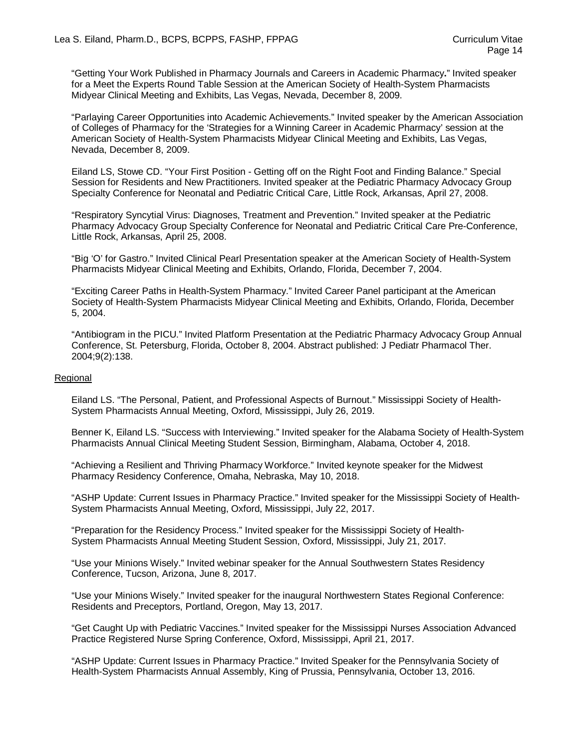"Getting Your Work Published in Pharmacy Journals and Careers in Academic Pharmacy**.**" Invited speaker for a Meet the Experts Round Table Session at the American Society of Health-System Pharmacists Midyear Clinical Meeting and Exhibits, Las Vegas, Nevada, December 8, 2009.

"Parlaying Career Opportunities into Academic Achievements." Invited speaker by the American Association of Colleges of Pharmacy for the 'Strategies for a Winning Career in Academic Pharmacy' session at the American Society of Health-System Pharmacists Midyear Clinical Meeting and Exhibits, Las Vegas, Nevada, December 8, 2009.

Eiland LS, Stowe CD. "Your First Position - Getting off on the Right Foot and Finding Balance." Special Session for Residents and New Practitioners. Invited speaker at the Pediatric Pharmacy Advocacy Group Specialty Conference for Neonatal and Pediatric Critical Care, Little Rock, Arkansas, April 27, 2008.

"Respiratory Syncytial Virus: Diagnoses, Treatment and Prevention." Invited speaker at the Pediatric Pharmacy Advocacy Group Specialty Conference for Neonatal and Pediatric Critical Care Pre-Conference, Little Rock, Arkansas, April 25, 2008.

"Big 'O' for Gastro." Invited Clinical Pearl Presentation speaker at the American Society of Health-System Pharmacists Midyear Clinical Meeting and Exhibits, Orlando, Florida, December 7, 2004.

"Exciting Career Paths in Health-System Pharmacy." Invited Career Panel participant at the American Society of Health-System Pharmacists Midyear Clinical Meeting and Exhibits, Orlando, Florida, December 5, 2004.

"Antibiogram in the PICU." Invited Platform Presentation at the Pediatric Pharmacy Advocacy Group Annual Conference, St. Petersburg, Florida, October 8, 2004. Abstract published: J Pediatr Pharmacol Ther. 2004;9(2):138.

#### Regional

Eiland LS. "The Personal, Patient, and Professional Aspects of Burnout." Mississippi Society of Health-System Pharmacists Annual Meeting, Oxford, Mississippi, July 26, 2019.

Benner K, Eiland LS. "Success with Interviewing." Invited speaker for the Alabama Society of Health-System Pharmacists Annual Clinical Meeting Student Session, Birmingham, Alabama, October 4, 2018.

"Achieving a Resilient and Thriving Pharmacy Workforce." Invited keynote speaker for the Midwest Pharmacy Residency Conference, Omaha, Nebraska, May 10, 2018.

"ASHP Update: Current Issues in Pharmacy Practice." Invited speaker for the Mississippi Society of Health-System Pharmacists Annual Meeting, Oxford, Mississippi, July 22, 2017.

"Preparation for the Residency Process." Invited speaker for the Mississippi Society of Health-System Pharmacists Annual Meeting Student Session, Oxford, Mississippi, July 21, 2017.

"Use your Minions Wisely." Invited webinar speaker for the Annual Southwestern States Residency Conference, Tucson, Arizona, June 8, 2017.

"Use your Minions Wisely." Invited speaker for the inaugural Northwestern States Regional Conference: Residents and Preceptors, Portland, Oregon, May 13, 2017.

"Get Caught Up with Pediatric Vaccines." Invited speaker for the Mississippi Nurses Association Advanced Practice Registered Nurse Spring Conference, Oxford, Mississippi, April 21, 2017.

"ASHP Update: Current Issues in Pharmacy Practice." Invited Speaker for the Pennsylvania Society of Health-System Pharmacists Annual Assembly, King of Prussia, Pennsylvania, October 13, 2016.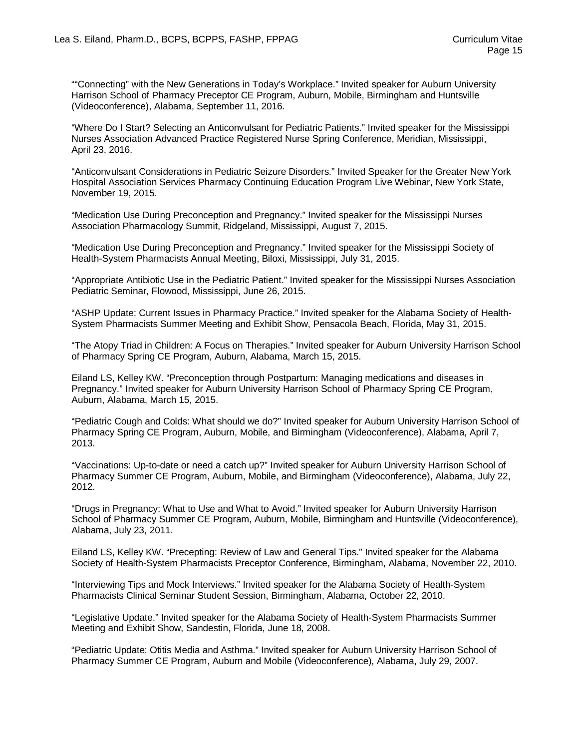""Connecting" with the New Generations in Today's Workplace." Invited speaker for Auburn University Harrison School of Pharmacy Preceptor CE Program, Auburn, Mobile, Birmingham and Huntsville (Videoconference), Alabama, September 11, 2016.

"Where Do I Start? Selecting an Anticonvulsant for Pediatric Patients." Invited speaker for the Mississippi Nurses Association Advanced Practice Registered Nurse Spring Conference, Meridian, Mississippi, April 23, 2016.

"Anticonvulsant Considerations in Pediatric Seizure Disorders." Invited Speaker for the Greater New York Hospital Association Services Pharmacy Continuing Education Program Live Webinar, New York State, November 19, 2015.

"Medication Use During Preconception and Pregnancy." Invited speaker for the Mississippi Nurses Association Pharmacology Summit, Ridgeland, Mississippi, August 7, 2015.

"Medication Use During Preconception and Pregnancy." Invited speaker for the Mississippi Society of Health-System Pharmacists Annual Meeting, Biloxi, Mississippi, July 31, 2015.

"Appropriate Antibiotic Use in the Pediatric Patient." Invited speaker for the Mississippi Nurses Association Pediatric Seminar, Flowood, Mississippi, June 26, 2015.

"ASHP Update: Current Issues in Pharmacy Practice." Invited speaker for the Alabama Society of Health-System Pharmacists Summer Meeting and Exhibit Show, Pensacola Beach, Florida, May 31, 2015.

"The Atopy Triad in Children: A Focus on Therapies." Invited speaker for Auburn University Harrison School of Pharmacy Spring CE Program, Auburn, Alabama, March 15, 2015.

Eiland LS, Kelley KW. "Preconception through Postpartum: Managing medications and diseases in Pregnancy." Invited speaker for Auburn University Harrison School of Pharmacy Spring CE Program, Auburn, Alabama, March 15, 2015.

"Pediatric Cough and Colds: What should we do?" Invited speaker for Auburn University Harrison School of Pharmacy Spring CE Program, Auburn, Mobile, and Birmingham (Videoconference), Alabama, April 7, 2013.

"Vaccinations: Up-to-date or need a catch up?" Invited speaker for Auburn University Harrison School of Pharmacy Summer CE Program, Auburn, Mobile, and Birmingham (Videoconference), Alabama, July 22, 2012.

"Drugs in Pregnancy: What to Use and What to Avoid." Invited speaker for Auburn University Harrison School of Pharmacy Summer CE Program, Auburn, Mobile, Birmingham and Huntsville (Videoconference), Alabama, July 23, 2011.

Eiland LS, Kelley KW. "Precepting: Review of Law and General Tips." Invited speaker for the Alabama Society of Health-System Pharmacists Preceptor Conference, Birmingham, Alabama, November 22, 2010.

"Interviewing Tips and Mock Interviews." Invited speaker for the Alabama Society of Health-System Pharmacists Clinical Seminar Student Session, Birmingham, Alabama, October 22, 2010.

"Legislative Update." Invited speaker for the Alabama Society of Health-System Pharmacists Summer Meeting and Exhibit Show, Sandestin, Florida, June 18, 2008.

"Pediatric Update: Otitis Media and Asthma." Invited speaker for Auburn University Harrison School of Pharmacy Summer CE Program, Auburn and Mobile (Videoconference), Alabama, July 29, 2007.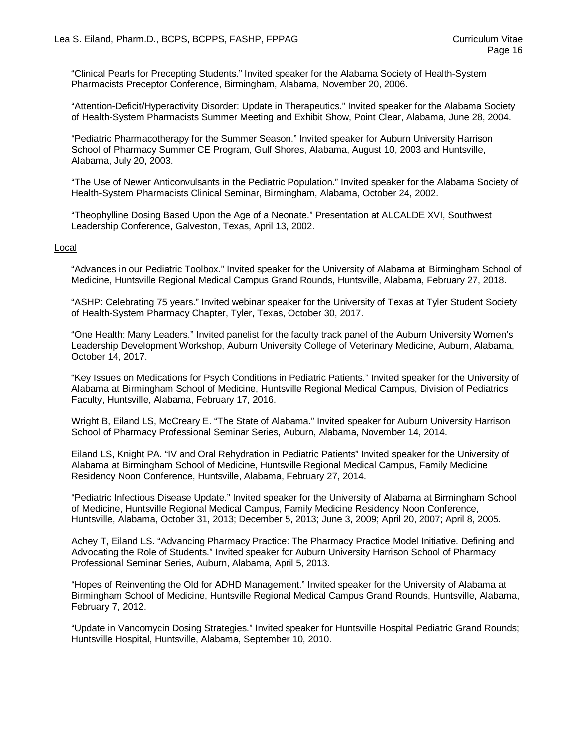"Clinical Pearls for Precepting Students." Invited speaker for the Alabama Society of Health-System Pharmacists Preceptor Conference, Birmingham, Alabama, November 20, 2006.

"Attention-Deficit/Hyperactivity Disorder: Update in Therapeutics." Invited speaker for the Alabama Society of Health-System Pharmacists Summer Meeting and Exhibit Show, Point Clear, Alabama, June 28, 2004.

"Pediatric Pharmacotherapy for the Summer Season." Invited speaker for Auburn University Harrison School of Pharmacy Summer CE Program, Gulf Shores, Alabama, August 10, 2003 and Huntsville, Alabama, July 20, 2003.

"The Use of Newer Anticonvulsants in the Pediatric Population." Invited speaker for the Alabama Society of Health-System Pharmacists Clinical Seminar, Birmingham, Alabama, October 24, 2002.

"Theophylline Dosing Based Upon the Age of a Neonate." Presentation at ALCALDE XVI, Southwest Leadership Conference, Galveston, Texas, April 13, 2002.

#### Local

"Advances in our Pediatric Toolbox." Invited speaker for the University of Alabama at Birmingham School of Medicine, Huntsville Regional Medical Campus Grand Rounds, Huntsville, Alabama, February 27, 2018.

"ASHP: Celebrating 75 years." Invited webinar speaker for the University of Texas at Tyler Student Society of Health-System Pharmacy Chapter, Tyler, Texas, October 30, 2017.

"One Health: Many Leaders." Invited panelist for the faculty track panel of the Auburn University Women's Leadership Development Workshop, Auburn University College of Veterinary Medicine, Auburn, Alabama, October 14, 2017.

"Key Issues on Medications for Psych Conditions in Pediatric Patients." Invited speaker for the University of Alabama at Birmingham School of Medicine, Huntsville Regional Medical Campus, Division of Pediatrics Faculty, Huntsville, Alabama, February 17, 2016.

Wright B, Eiland LS, McCreary E. "The State of Alabama." Invited speaker for Auburn University Harrison School of Pharmacy Professional Seminar Series, Auburn, Alabama, November 14, 2014.

Eiland LS, Knight PA. "IV and Oral Rehydration in Pediatric Patients" Invited speaker for the University of Alabama at Birmingham School of Medicine, Huntsville Regional Medical Campus, Family Medicine Residency Noon Conference, Huntsville, Alabama, February 27, 2014.

"Pediatric Infectious Disease Update." Invited speaker for the University of Alabama at Birmingham School of Medicine, Huntsville Regional Medical Campus, Family Medicine Residency Noon Conference, Huntsville, Alabama, October 31, 2013; December 5, 2013; June 3, 2009; April 20, 2007; April 8, 2005.

Achey T, Eiland LS. "Advancing Pharmacy Practice: The Pharmacy Practice Model Initiative. Defining and Advocating the Role of Students." Invited speaker for Auburn University Harrison School of Pharmacy Professional Seminar Series, Auburn, Alabama, April 5, 2013.

"Hopes of Reinventing the Old for ADHD Management." Invited speaker for the University of Alabama at Birmingham School of Medicine, Huntsville Regional Medical Campus Grand Rounds, Huntsville, Alabama, February 7, 2012.

"Update in Vancomycin Dosing Strategies." Invited speaker for Huntsville Hospital Pediatric Grand Rounds; Huntsville Hospital, Huntsville, Alabama, September 10, 2010.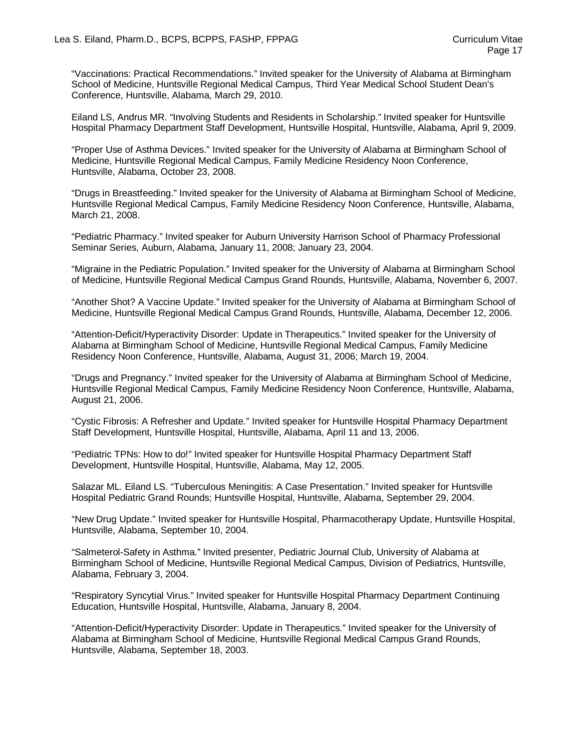"Vaccinations: Practical Recommendations." Invited speaker for the University of Alabama at Birmingham School of Medicine, Huntsville Regional Medical Campus, Third Year Medical School Student Dean's Conference, Huntsville, Alabama, March 29, 2010.

Eiland LS, Andrus MR. "Involving Students and Residents in Scholarship." Invited speaker for Huntsville Hospital Pharmacy Department Staff Development, Huntsville Hospital, Huntsville, Alabama, April 9, 2009.

"Proper Use of Asthma Devices." Invited speaker for the University of Alabama at Birmingham School of Medicine, Huntsville Regional Medical Campus, Family Medicine Residency Noon Conference, Huntsville, Alabama, October 23, 2008.

"Drugs in Breastfeeding." Invited speaker for the University of Alabama at Birmingham School of Medicine, Huntsville Regional Medical Campus, Family Medicine Residency Noon Conference, Huntsville, Alabama, March 21, 2008.

"Pediatric Pharmacy." Invited speaker for Auburn University Harrison School of Pharmacy Professional Seminar Series, Auburn, Alabama, January 11, 2008; January 23, 2004.

"Migraine in the Pediatric Population." Invited speaker for the University of Alabama at Birmingham School of Medicine, Huntsville Regional Medical Campus Grand Rounds, Huntsville, Alabama, November 6, 2007.

"Another Shot? A Vaccine Update." Invited speaker for the University of Alabama at Birmingham School of Medicine, Huntsville Regional Medical Campus Grand Rounds, Huntsville, Alabama, December 12, 2006.

"Attention-Deficit/Hyperactivity Disorder: Update in Therapeutics." Invited speaker for the University of Alabama at Birmingham School of Medicine, Huntsville Regional Medical Campus, Family Medicine Residency Noon Conference, Huntsville, Alabama, August 31, 2006; March 19, 2004.

"Drugs and Pregnancy." Invited speaker for the University of Alabama at Birmingham School of Medicine, Huntsville Regional Medical Campus, Family Medicine Residency Noon Conference, Huntsville, Alabama, August 21, 2006.

"Cystic Fibrosis: A Refresher and Update." Invited speaker for Huntsville Hospital Pharmacy Department Staff Development, Huntsville Hospital, Huntsville, Alabama, April 11 and 13, 2006.

"Pediatric TPNs: How to do!" Invited speaker for Huntsville Hospital Pharmacy Department Staff Development, Huntsville Hospital, Huntsville, Alabama, May 12, 2005.

Salazar ML. Eiland LS. "Tuberculous Meningitis: A Case Presentation." Invited speaker for Huntsville Hospital Pediatric Grand Rounds; Huntsville Hospital, Huntsville, Alabama, September 29, 2004.

"New Drug Update." Invited speaker for Huntsville Hospital, Pharmacotherapy Update, Huntsville Hospital, Huntsville, Alabama, September 10, 2004.

"Salmeterol-Safety in Asthma." Invited presenter, Pediatric Journal Club, University of Alabama at Birmingham School of Medicine, Huntsville Regional Medical Campus, Division of Pediatrics, Huntsville, Alabama, February 3, 2004.

"Respiratory Syncytial Virus." Invited speaker for Huntsville Hospital Pharmacy Department Continuing Education, Huntsville Hospital, Huntsville, Alabama, January 8, 2004.

"Attention-Deficit/Hyperactivity Disorder: Update in Therapeutics." Invited speaker for the University of Alabama at Birmingham School of Medicine, Huntsville Regional Medical Campus Grand Rounds, Huntsville, Alabama, September 18, 2003.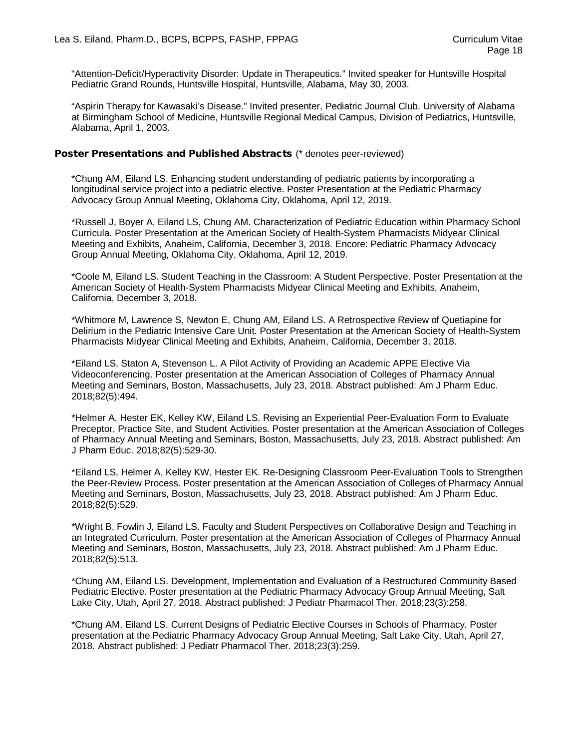"Attention-Deficit/Hyperactivity Disorder: Update in Therapeutics." Invited speaker for Huntsville Hospital Pediatric Grand Rounds, Huntsville Hospital, Huntsville, Alabama, May 30, 2003.

"Aspirin Therapy for Kawasaki's Disease." Invited presenter, Pediatric Journal Club. University of Alabama at Birmingham School of Medicine, Huntsville Regional Medical Campus, Division of Pediatrics, Huntsville, Alabama, April 1, 2003.

#### Poster Presentations and Published Abstracts (\* denotes peer-reviewed)

\*Chung AM, Eiland LS. Enhancing student understanding of pediatric patients by incorporating a longitudinal service project into a pediatric elective. Poster Presentation at the Pediatric Pharmacy Advocacy Group Annual Meeting, Oklahoma City, Oklahoma, April 12, 2019.

\*Russell J, Boyer A, Eiland LS, Chung AM. Characterization of Pediatric Education within Pharmacy School Curricula. Poster Presentation at the American Society of Health-System Pharmacists Midyear Clinical Meeting and Exhibits, Anaheim, California, December 3, 2018. Encore: Pediatric Pharmacy Advocacy Group Annual Meeting, Oklahoma City, Oklahoma, April 12, 2019.

\*Coole M, Eiland LS. Student Teaching in the Classroom: A Student Perspective. Poster Presentation at the American Society of Health-System Pharmacists Midyear Clinical Meeting and Exhibits, Anaheim, California, December 3, 2018.

\*Whitmore M, Lawrence S, Newton E, Chung AM, Eiland LS. A Retrospective Review of Quetiapine for Delirium in the Pediatric Intensive Care Unit. Poster Presentation at the American Society of Health-System Pharmacists Midyear Clinical Meeting and Exhibits, Anaheim, California, December 3, 2018.

\*Eiland LS, Staton A, Stevenson L. A Pilot Activity of Providing an Academic APPE Elective Via Videoconferencing. Poster presentation at the American Association of Colleges of Pharmacy Annual Meeting and Seminars, Boston, Massachusetts, July 23, 2018. Abstract published: Am J Pharm Educ. 2018;82(5):494.

\*Helmer A, Hester EK, Kelley KW, Eiland LS. Revising an Experiential Peer-Evaluation Form to Evaluate Preceptor, Practice Site, and Student Activities. Poster presentation at the American Association of Colleges of Pharmacy Annual Meeting and Seminars, Boston, Massachusetts, July 23, 2018. Abstract published: Am J Pharm Educ. 2018;82(5):529-30.

\*Eiland LS, Helmer A, Kelley KW, Hester EK. Re-Designing Classroom Peer-Evaluation Tools to Strengthen the Peer-Review Process. Poster presentation at the American Association of Colleges of Pharmacy Annual Meeting and Seminars, Boston, Massachusetts, July 23, 2018. Abstract published: Am J Pharm Educ. 2018;82(5):529.

\*Wright B, Fowlin J, Eiland LS. Faculty and Student Perspectives on Collaborative Design and Teaching in an Integrated Curriculum. Poster presentation at the American Association of Colleges of Pharmacy Annual Meeting and Seminars, Boston, Massachusetts, July 23, 2018. Abstract published: Am J Pharm Educ. 2018;82(5):513.

\*Chung AM, Eiland LS. Development, Implementation and Evaluation of a Restructured Community Based Pediatric Elective. Poster presentation at the Pediatric Pharmacy Advocacy Group Annual Meeting, Salt Lake City, Utah, April 27, 2018. Abstract published: J Pediatr Pharmacol Ther. 2018;23(3):258.

\*Chung AM, Eiland LS. Current Designs of Pediatric Elective Courses in Schools of Pharmacy. Poster presentation at the Pediatric Pharmacy Advocacy Group Annual Meeting, Salt Lake City, Utah, April 27, 2018. Abstract published: J Pediatr Pharmacol Ther. 2018;23(3):259.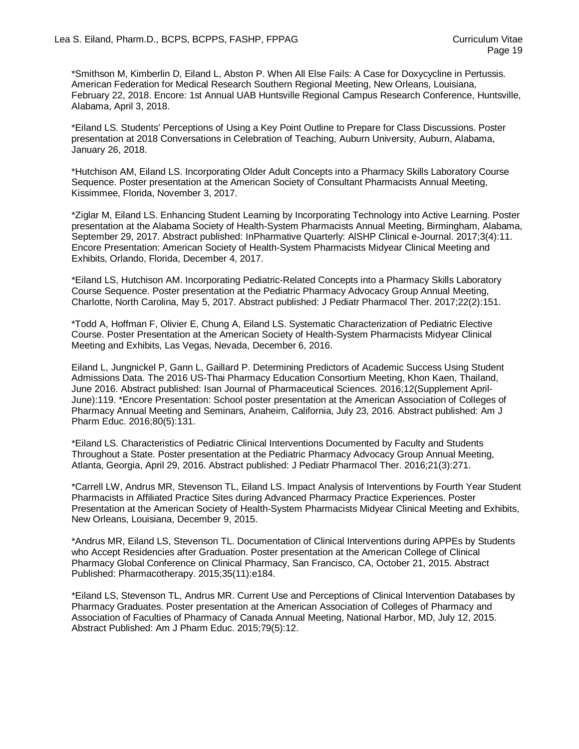\*Smithson M, Kimberlin D, Eiland L, Abston P. When All Else Fails: A Case for Doxycycline in Pertussis. American Federation for Medical Research Southern Regional Meeting, New Orleans, Louisiana, February 22, 2018. Encore: 1st Annual UAB Huntsville Regional Campus Research Conference, Huntsville, Alabama, April 3, 2018.

\*Eiland LS. Students' Perceptions of Using a Key Point Outline to Prepare for Class Discussions. Poster presentation at 2018 Conversations in Celebration of Teaching, Auburn University, Auburn, Alabama, January 26, 2018.

\*Hutchison AM, Eiland LS. Incorporating Older Adult Concepts into a Pharmacy Skills Laboratory Course Sequence. Poster presentation at the American Society of Consultant Pharmacists Annual Meeting, Kissimmee, Florida, November 3, 2017.

\*Ziglar M, Eiland LS. Enhancing Student Learning by Incorporating Technology into Active Learning. Poster presentation at the Alabama Society of Health-System Pharmacists Annual Meeting, Birmingham, Alabama, September 29, 2017. Abstract published: InPharmative Quarterly: AlSHP Clinical e-Journal. 2017;3(4):11. Encore Presentation: American Society of Health-System Pharmacists Midyear Clinical Meeting and Exhibits, Orlando, Florida, December 4, 2017.

\*Eiland LS, Hutchison AM. Incorporating Pediatric-Related Concepts into a Pharmacy Skills Laboratory Course Sequence. Poster presentation at the Pediatric Pharmacy Advocacy Group Annual Meeting, Charlotte, North Carolina, May 5, 2017. Abstract published: J Pediatr Pharmacol Ther. 2017;22(2):151.

\*Todd A, Hoffman F, Olivier E, Chung A, Eiland LS. Systematic Characterization of Pediatric Elective Course. Poster Presentation at the American Society of Health-System Pharmacists Midyear Clinical Meeting and Exhibits, Las Vegas, Nevada, December 6, 2016.

Eiland L, Jungnickel P, Gann L, Gaillard P. Determining Predictors of Academic Success Using Student Admissions Data. The 2016 US-Thai Pharmacy Education Consortium Meeting, Khon Kaen, Thailand, June 2016. Abstract published: Isan Journal of Pharmaceutical Sciences. 2016;12(Supplement April-June):119. \*Encore Presentation: School poster presentation at the American Association of Colleges of Pharmacy Annual Meeting and Seminars, Anaheim, California, July 23, 2016. Abstract published: Am J Pharm Educ. 2016;80(5):131.

\*Eiland LS. Characteristics of Pediatric Clinical Interventions Documented by Faculty and Students Throughout a State. Poster presentation at the Pediatric Pharmacy Advocacy Group Annual Meeting, Atlanta, Georgia, April 29, 2016. Abstract published: J Pediatr Pharmacol Ther. 2016;21(3):271.

\*Carrell LW, Andrus MR, Stevenson TL, Eiland LS. Impact Analysis of Interventions by Fourth Year Student Pharmacists in Affiliated Practice Sites during Advanced Pharmacy Practice Experiences. Poster Presentation at the American Society of Health-System Pharmacists Midyear Clinical Meeting and Exhibits, New Orleans, Louisiana, December 9, 2015.

\*Andrus MR, Eiland LS, Stevenson TL. Documentation of Clinical Interventions during APPEs by Students who Accept Residencies after Graduation. Poster presentation at the American College of Clinical Pharmacy Global Conference on Clinical Pharmacy, San Francisco, CA, October 21, 2015. Abstract Published: Pharmacotherapy. 2015;35(11):e184.

\*Eiland LS, Stevenson TL, Andrus MR. Current Use and Perceptions of Clinical Intervention Databases by Pharmacy Graduates. Poster presentation at the American Association of Colleges of Pharmacy and Association of Faculties of Pharmacy of Canada Annual Meeting, National Harbor, MD, July 12, 2015. Abstract Published: Am J Pharm Educ. 2015;79(5):12.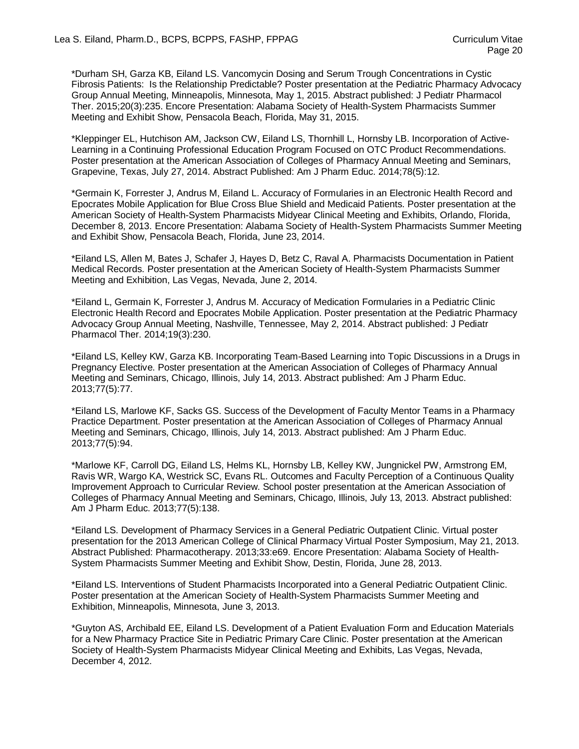\*Durham SH, Garza KB, Eiland LS. Vancomycin Dosing and Serum Trough Concentrations in Cystic Fibrosis Patients: Is the Relationship Predictable? Poster presentation at the Pediatric Pharmacy Advocacy Group Annual Meeting, Minneapolis, Minnesota, May 1, 2015. Abstract published: J Pediatr Pharmacol Ther. 2015;20(3):235. Encore Presentation: Alabama Society of Health-System Pharmacists Summer Meeting and Exhibit Show, Pensacola Beach, Florida, May 31, 2015.

\*Kleppinger EL, Hutchison AM, Jackson CW, Eiland LS, Thornhill L, Hornsby LB. Incorporation of Active-Learning in a Continuing Professional Education Program Focused on OTC Product Recommendations. Poster presentation at the American Association of Colleges of Pharmacy Annual Meeting and Seminars, Grapevine, Texas, July 27, 2014. Abstract Published: Am J Pharm Educ. 2014;78(5):12.

\*Germain K, Forrester J, Andrus M, Eiland L. Accuracy of Formularies in an Electronic Health Record and Epocrates Mobile Application for Blue Cross Blue Shield and Medicaid Patients. Poster presentation at the American Society of Health-System Pharmacists Midyear Clinical Meeting and Exhibits, Orlando, Florida, December 8, 2013. Encore Presentation: Alabama Society of Health-System Pharmacists Summer Meeting and Exhibit Show, Pensacola Beach, Florida, June 23, 2014.

\*Eiland LS, Allen M, Bates J, Schafer J, Hayes D, Betz C, Raval A. Pharmacists Documentation in Patient Medical Records. Poster presentation at the American Society of Health-System Pharmacists Summer Meeting and Exhibition, Las Vegas, Nevada, June 2, 2014.

\*Eiland L, Germain K, Forrester J, Andrus M. Accuracy of Medication Formularies in a Pediatric Clinic Electronic Health Record and Epocrates Mobile Application. Poster presentation at the Pediatric Pharmacy Advocacy Group Annual Meeting, Nashville, Tennessee, May 2, 2014. Abstract published: J Pediatr Pharmacol Ther. 2014;19(3):230.

\*Eiland LS, Kelley KW, Garza KB. Incorporating Team-Based Learning into Topic Discussions in a Drugs in Pregnancy Elective. Poster presentation at the American Association of Colleges of Pharmacy Annual Meeting and Seminars, Chicago, Illinois, July 14, 2013. Abstract published: Am J Pharm Educ. 2013;77(5):77.

\*Eiland LS, Marlowe KF, Sacks GS. Success of the Development of Faculty Mentor Teams in a Pharmacy Practice Department. Poster presentation at the American Association of Colleges of Pharmacy Annual Meeting and Seminars, Chicago, Illinois, July 14, 2013. Abstract published: Am J Pharm Educ. 2013;77(5):94.

\*Marlowe KF, Carroll DG, Eiland LS, Helms KL, Hornsby LB, Kelley KW, Jungnickel PW, Armstrong EM, Ravis WR, Wargo KA, Westrick SC, Evans RL. Outcomes and Faculty Perception of a Continuous Quality Improvement Approach to Curricular Review. School poster presentation at the American Association of Colleges of Pharmacy Annual Meeting and Seminars, Chicago, Illinois, July 13, 2013. Abstract published: Am J Pharm Educ. 2013;77(5):138.

\*Eiland LS. Development of Pharmacy Services in a General Pediatric Outpatient Clinic. Virtual poster presentation for the 2013 American College of Clinical Pharmacy Virtual Poster Symposium, May 21, 2013. Abstract Published: Pharmacotherapy. 2013;33:e69. Encore Presentation: Alabama Society of Health-System Pharmacists Summer Meeting and Exhibit Show, Destin, Florida, June 28, 2013.

\*Eiland LS. Interventions of Student Pharmacists Incorporated into a General Pediatric Outpatient Clinic. Poster presentation at the American Society of Health-System Pharmacists Summer Meeting and Exhibition, Minneapolis, Minnesota, June 3, 2013.

\*Guyton AS, Archibald EE, Eiland LS. Development of a Patient Evaluation Form and Education Materials for a New Pharmacy Practice Site in Pediatric Primary Care Clinic. Poster presentation at the American Society of Health-System Pharmacists Midyear Clinical Meeting and Exhibits, Las Vegas, Nevada, December 4, 2012.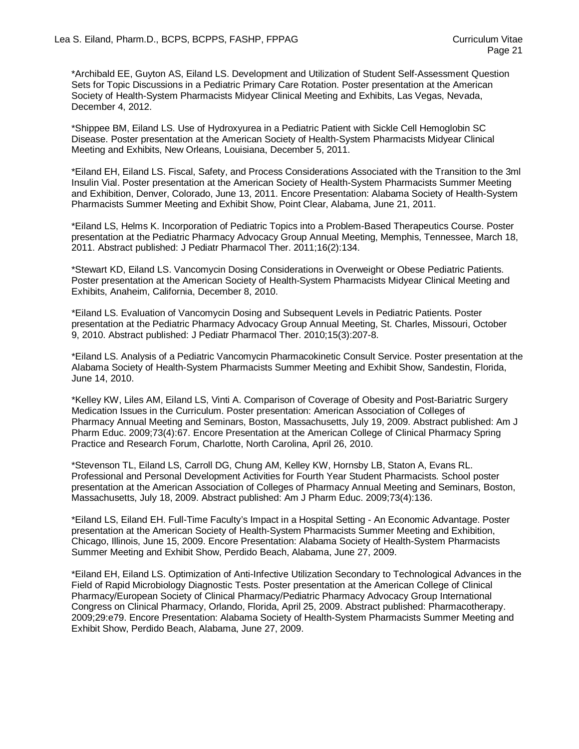\*Archibald EE, Guyton AS, Eiland LS. Development and Utilization of Student Self‐Assessment Question Sets for Topic Discussions in a Pediatric Primary Care Rotation. Poster presentation at the American Society of Health-System Pharmacists Midyear Clinical Meeting and Exhibits, Las Vegas, Nevada, December 4, 2012.

\*Shippee BM, Eiland LS. Use of Hydroxyurea in a Pediatric Patient with Sickle Cell Hemoglobin SC Disease. Poster presentation at the American Society of Health-System Pharmacists Midyear Clinical Meeting and Exhibits, New Orleans, Louisiana, December 5, 2011.

\*Eiland EH, Eiland LS. Fiscal, Safety, and Process Considerations Associated with the Transition to the 3ml Insulin Vial. Poster presentation at the American Society of Health-System Pharmacists Summer Meeting and Exhibition, Denver, Colorado, June 13, 2011. Encore Presentation: Alabama Society of Health-System Pharmacists Summer Meeting and Exhibit Show, Point Clear, Alabama, June 21, 2011.

\*Eiland LS, Helms K. Incorporation of Pediatric Topics into a Problem-Based Therapeutics Course. Poster presentation at the Pediatric Pharmacy Advocacy Group Annual Meeting, Memphis, Tennessee, March 18, 2011. Abstract published: J Pediatr Pharmacol Ther. 2011;16(2):134.

\*Stewart KD, Eiland LS. Vancomycin Dosing Considerations in Overweight or Obese Pediatric Patients. Poster presentation at the American Society of Health-System Pharmacists Midyear Clinical Meeting and Exhibits, Anaheim, California, December 8, 2010.

\*Eiland LS. Evaluation of Vancomycin Dosing and Subsequent Levels in Pediatric Patients. Poster presentation at the Pediatric Pharmacy Advocacy Group Annual Meeting, St. Charles, Missouri, October 9, 2010. Abstract published: J Pediatr Pharmacol Ther. 2010;15(3):207-8.

\*Eiland LS. Analysis of a Pediatric Vancomycin Pharmacokinetic Consult Service. Poster presentation at the Alabama Society of Health-System Pharmacists Summer Meeting and Exhibit Show, Sandestin, Florida, June 14, 2010.

\*Kelley KW, Liles AM, Eiland LS, Vinti A. Comparison of Coverage of Obesity and Post-Bariatric Surgery Medication Issues in the Curriculum. Poster presentation: American Association of Colleges of Pharmacy Annual Meeting and Seminars, Boston, Massachusetts, July 19, 2009. Abstract published: Am J Pharm Educ. 2009;73(4):67. Encore Presentation at the American College of Clinical Pharmacy Spring Practice and Research Forum, Charlotte, North Carolina, April 26, 2010.

\*Stevenson TL, Eiland LS, Carroll DG, Chung AM, Kelley KW, Hornsby LB, Staton A, Evans RL. Professional and Personal Development Activities for Fourth Year Student Pharmacists. School poster presentation at the American Association of Colleges of Pharmacy Annual Meeting and Seminars, Boston, Massachusetts, July 18, 2009. Abstract published: Am J Pharm Educ. 2009;73(4):136.

\*Eiland LS, Eiland EH. Full-Time Faculty's Impact in a Hospital Setting - An Economic Advantage. Poster presentation at the American Society of Health-System Pharmacists Summer Meeting and Exhibition, Chicago, Illinois, June 15, 2009. Encore Presentation: Alabama Society of Health-System Pharmacists Summer Meeting and Exhibit Show, Perdido Beach, Alabama, June 27, 2009.

\*Eiland EH, Eiland LS. Optimization of Anti-Infective Utilization Secondary to Technological Advances in the Field of Rapid Microbiology Diagnostic Tests. Poster presentation at the American College of Clinical Pharmacy/European Society of Clinical Pharmacy/Pediatric Pharmacy Advocacy Group International Congress on Clinical Pharmacy, Orlando, Florida, April 25, 2009. Abstract published: Pharmacotherapy. 2009;29:e79. Encore Presentation: Alabama Society of Health-System Pharmacists Summer Meeting and Exhibit Show, Perdido Beach, Alabama, June 27, 2009.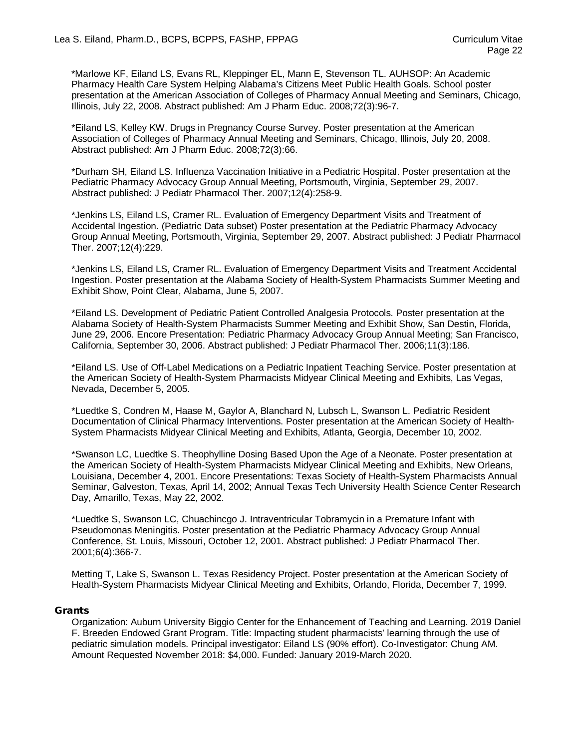\*Marlowe KF, Eiland LS, Evans RL, Kleppinger EL, Mann E, Stevenson TL. AUHSOP: An Academic Pharmacy Health Care System Helping Alabama's Citizens Meet Public Health Goals. School poster presentation at the American Association of Colleges of Pharmacy Annual Meeting and Seminars, Chicago, Illinois, July 22, 2008. Abstract published: Am J Pharm Educ. 2008;72(3):96-7.

\*Eiland LS, Kelley KW. Drugs in Pregnancy Course Survey. Poster presentation at the American Association of Colleges of Pharmacy Annual Meeting and Seminars, Chicago, Illinois, July 20, 2008. Abstract published: Am J Pharm Educ. 2008;72(3):66.

\*Durham SH, Eiland LS. Influenza Vaccination Initiative in a Pediatric Hospital. Poster presentation at the Pediatric Pharmacy Advocacy Group Annual Meeting, Portsmouth, Virginia, September 29, 2007. Abstract published: J Pediatr Pharmacol Ther. 2007;12(4):258-9.

\*Jenkins LS, Eiland LS, Cramer RL. Evaluation of Emergency Department Visits and Treatment of Accidental Ingestion. (Pediatric Data subset) Poster presentation at the Pediatric Pharmacy Advocacy Group Annual Meeting, Portsmouth, Virginia, September 29, 2007. Abstract published: J Pediatr Pharmacol Ther. 2007;12(4):229.

\*Jenkins LS, Eiland LS, Cramer RL. Evaluation of Emergency Department Visits and Treatment Accidental Ingestion. Poster presentation at the Alabama Society of Health-System Pharmacists Summer Meeting and Exhibit Show, Point Clear, Alabama, June 5, 2007.

\*Eiland LS. Development of Pediatric Patient Controlled Analgesia Protocols. Poster presentation at the Alabama Society of Health-System Pharmacists Summer Meeting and Exhibit Show, San Destin, Florida, June 29, 2006. Encore Presentation: Pediatric Pharmacy Advocacy Group Annual Meeting; San Francisco, California, September 30, 2006. Abstract published: J Pediatr Pharmacol Ther. 2006;11(3):186.

\*Eiland LS. Use of Off-Label Medications on a Pediatric Inpatient Teaching Service. Poster presentation at the American Society of Health-System Pharmacists Midyear Clinical Meeting and Exhibits, Las Vegas, Nevada, December 5, 2005.

\*Luedtke S, Condren M, Haase M, Gaylor A, Blanchard N, Lubsch L, Swanson L. Pediatric Resident Documentation of Clinical Pharmacy Interventions. Poster presentation at the American Society of Health-System Pharmacists Midyear Clinical Meeting and Exhibits, Atlanta, Georgia, December 10, 2002.

\*Swanson LC, Luedtke S. Theophylline Dosing Based Upon the Age of a Neonate. Poster presentation at the American Society of Health-System Pharmacists Midyear Clinical Meeting and Exhibits, New Orleans, Louisiana, December 4, 2001. Encore Presentations: Texas Society of Health-System Pharmacists Annual Seminar, Galveston, Texas, April 14, 2002; Annual Texas Tech University Health Science Center Research Day, Amarillo, Texas, May 22, 2002.

\*Luedtke S, Swanson LC, Chuachincgo J. Intraventricular Tobramycin in a Premature Infant with Pseudomonas Meningitis. Poster presentation at the Pediatric Pharmacy Advocacy Group Annual Conference, St. Louis, Missouri, October 12, 2001. Abstract published: J Pediatr Pharmacol Ther. 2001;6(4):366-7.

Metting T, Lake S, Swanson L. Texas Residency Project. Poster presentation at the American Society of Health-System Pharmacists Midyear Clinical Meeting and Exhibits, Orlando, Florida, December 7, 1999.

#### **Grants**

Organization: Auburn University Biggio Center for the Enhancement of Teaching and Learning. 2019 Daniel F. Breeden Endowed Grant Program. Title: Impacting student pharmacists' learning through the use of pediatric simulation models. Principal investigator: Eiland LS (90% effort). Co-Investigator: Chung AM. Amount Requested November 2018: \$4,000. Funded: January 2019-March 2020.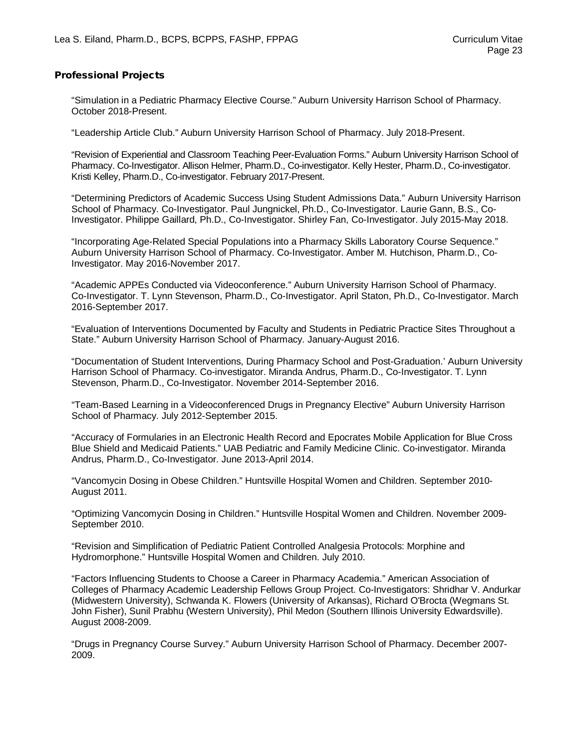## Professional Projects

"Simulation in a Pediatric Pharmacy Elective Course." Auburn University Harrison School of Pharmacy. October 2018-Present.

"Leadership Article Club." Auburn University Harrison School of Pharmacy. July 2018-Present.

"Revision of Experiential and Classroom Teaching Peer-Evaluation Forms." Auburn University Harrison School of Pharmacy. Co-Investigator. Allison Helmer, Pharm.D., Co-investigator. Kelly Hester, Pharm.D., Co-investigator. Kristi Kelley, Pharm.D., Co-investigator. February 2017-Present.

"Determining Predictors of Academic Success Using Student Admissions Data." Auburn University Harrison School of Pharmacy. Co-Investigator. Paul Jungnickel, Ph.D., Co-Investigator. Laurie Gann, B.S., Co-Investigator. Philippe Gaillard, Ph.D., Co-Investigator. Shirley Fan, Co-Investigator. July 2015-May 2018.

"Incorporating Age-Related Special Populations into a Pharmacy Skills Laboratory Course Sequence." Auburn University Harrison School of Pharmacy. Co-Investigator. Amber M. Hutchison, Pharm.D., Co-Investigator. May 2016-November 2017.

"Academic APPEs Conducted via Videoconference." Auburn University Harrison School of Pharmacy. Co-Investigator. T. Lynn Stevenson, Pharm.D., Co-Investigator. April Staton, Ph.D., Co-Investigator. March 2016-September 2017.

"Evaluation of Interventions Documented by Faculty and Students in Pediatric Practice Sites Throughout a State." Auburn University Harrison School of Pharmacy. January-August 2016.

"Documentation of Student Interventions, During Pharmacy School and Post-Graduation.' Auburn University Harrison School of Pharmacy. Co-investigator. Miranda Andrus, Pharm.D., Co-Investigator. T. Lynn Stevenson, Pharm.D., Co-Investigator. November 2014-September 2016.

"Team-Based Learning in a Videoconferenced Drugs in Pregnancy Elective" Auburn University Harrison School of Pharmacy. July 2012-September 2015.

"Accuracy of Formularies in an Electronic Health Record and Epocrates Mobile Application for Blue Cross Blue Shield and Medicaid Patients." UAB Pediatric and Family Medicine Clinic. Co-investigator. Miranda Andrus, Pharm.D., Co-Investigator. June 2013-April 2014.

"Vancomycin Dosing in Obese Children." Huntsville Hospital Women and Children. September 2010- August 2011.

"Optimizing Vancomycin Dosing in Children." Huntsville Hospital Women and Children. November 2009- September 2010.

"Revision and Simplification of Pediatric Patient Controlled Analgesia Protocols: Morphine and Hydromorphone." Huntsville Hospital Women and Children. July 2010.

"Factors Influencing Students to Choose a Career in Pharmacy Academia." American Association of Colleges of Pharmacy Academic Leadership Fellows Group Project. Co-Investigators: Shridhar V. Andurkar (Midwestern University), Schwanda K. Flowers (University of Arkansas), Richard O'Brocta (Wegmans St. John Fisher), Sunil Prabhu (Western University), Phil Medon (Southern Illinois University Edwardsville). August 2008-2009.

"Drugs in Pregnancy Course Survey." Auburn University Harrison School of Pharmacy. December 2007- 2009.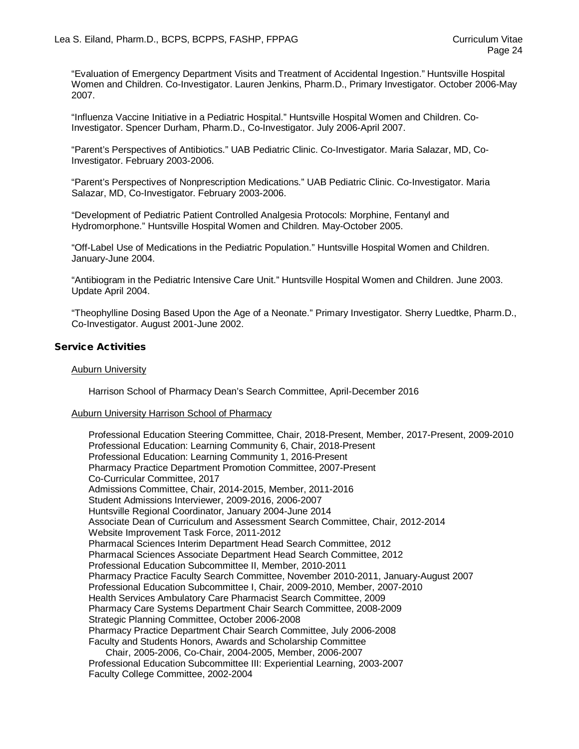"Evaluation of Emergency Department Visits and Treatment of Accidental Ingestion." Huntsville Hospital Women and Children. Co-Investigator. Lauren Jenkins, Pharm.D., Primary Investigator. October 2006-May 2007.

"Influenza Vaccine Initiative in a Pediatric Hospital." Huntsville Hospital Women and Children. Co-Investigator. Spencer Durham, Pharm.D., Co-Investigator. July 2006-April 2007.

"Parent's Perspectives of Antibiotics." UAB Pediatric Clinic. Co-Investigator. Maria Salazar, MD, Co-Investigator. February 2003-2006.

"Parent's Perspectives of Nonprescription Medications." UAB Pediatric Clinic. Co-Investigator. Maria Salazar, MD, Co-Investigator. February 2003-2006.

"Development of Pediatric Patient Controlled Analgesia Protocols: Morphine, Fentanyl and Hydromorphone." Huntsville Hospital Women and Children. May-October 2005.

"Off-Label Use of Medications in the Pediatric Population." Huntsville Hospital Women and Children. January-June 2004.

"Antibiogram in the Pediatric Intensive Care Unit." Huntsville Hospital Women and Children. June 2003. Update April 2004.

"Theophylline Dosing Based Upon the Age of a Neonate." Primary Investigator. Sherry Luedtke, Pharm.D., Co-Investigator. August 2001-June 2002.

#### Service Activities

#### Auburn University

Harrison School of Pharmacy Dean's Search Committee, April-December 2016

#### Auburn University Harrison School of Pharmacy

Professional Education Steering Committee, Chair, 2018-Present, Member, 2017-Present, 2009-2010 Professional Education: Learning Community 6, Chair, 2018-Present Professional Education: Learning Community 1, 2016-Present Pharmacy Practice Department Promotion Committee, 2007-Present Co-Curricular Committee, 2017 Admissions Committee, Chair, 2014-2015, Member, 2011-2016 Student Admissions Interviewer, 2009-2016, 2006-2007 Huntsville Regional Coordinator, January 2004-June 2014 Associate Dean of Curriculum and Assessment Search Committee, Chair, 2012-2014 Website Improvement Task Force, 2011-2012 Pharmacal Sciences Interim Department Head Search Committee, 2012 Pharmacal Sciences Associate Department Head Search Committee, 2012 Professional Education Subcommittee II, Member, 2010-2011 Pharmacy Practice Faculty Search Committee, November 2010-2011, January-August 2007 Professional Education Subcommittee I, Chair, 2009-2010, Member, 2007-2010 Health Services Ambulatory Care Pharmacist Search Committee, 2009 Pharmacy Care Systems Department Chair Search Committee, 2008-2009 Strategic Planning Committee, October 2006-2008 Pharmacy Practice Department Chair Search Committee, July 2006-2008 Faculty and Students Honors, Awards and Scholarship Committee Chair, 2005-2006, Co-Chair, 2004-2005, Member, 2006-2007 Professional Education Subcommittee III: Experiential Learning, 2003-2007

Faculty College Committee, 2002-2004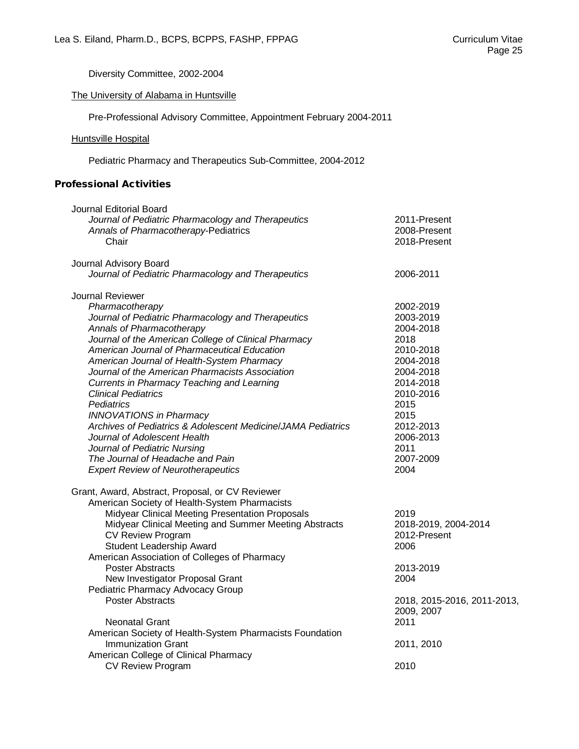Diversity Committee, 2002-2004

## The University of Alabama in Huntsville

Pre-Professional Advisory Committee, Appointment February 2004-2011

## Huntsville Hospital

Pediatric Pharmacy and Therapeutics Sub-Committee, 2004-2012

## Professional Activities

| Journal Editorial Board                                      |                             |
|--------------------------------------------------------------|-----------------------------|
| Journal of Pediatric Pharmacology and Therapeutics           | 2011-Present                |
| Annals of Pharmacotherapy-Pediatrics                         | 2008-Present                |
| Chair                                                        | 2018-Present                |
| Journal Advisory Board                                       |                             |
| Journal of Pediatric Pharmacology and Therapeutics           | 2006-2011                   |
| Journal Reviewer                                             |                             |
| Pharmacotherapy                                              | 2002-2019                   |
| Journal of Pediatric Pharmacology and Therapeutics           | 2003-2019                   |
| Annals of Pharmacotherapy                                    | 2004-2018                   |
| Journal of the American College of Clinical Pharmacy         | 2018                        |
| American Journal of Pharmaceutical Education                 | 2010-2018                   |
| American Journal of Health-System Pharmacy                   | 2004-2018                   |
| Journal of the American Pharmacists Association              | 2004-2018                   |
| <b>Currents in Pharmacy Teaching and Learning</b>            | 2014-2018                   |
| <b>Clinical Pediatrics</b>                                   | 2010-2016                   |
| Pediatrics                                                   | 2015                        |
| <b>INNOVATIONS in Pharmacy</b>                               | 2015                        |
| Archives of Pediatrics & Adolescent Medicine/JAMA Pediatrics | 2012-2013                   |
| Journal of Adolescent Health                                 | 2006-2013                   |
| Journal of Pediatric Nursing                                 | 2011                        |
| The Journal of Headache and Pain                             | 2007-2009                   |
| <b>Expert Review of Neurotherapeutics</b>                    | 2004                        |
| Grant, Award, Abstract, Proposal, or CV Reviewer             |                             |
| American Society of Health-System Pharmacists                |                             |
| Midyear Clinical Meeting Presentation Proposals              | 2019                        |
| Midyear Clinical Meeting and Summer Meeting Abstracts        | 2018-2019, 2004-2014        |
| <b>CV Review Program</b>                                     | 2012-Present                |
| Student Leadership Award                                     | 2006                        |
| American Association of Colleges of Pharmacy                 |                             |
| <b>Poster Abstracts</b>                                      | 2013-2019                   |
| New Investigator Proposal Grant                              | 2004                        |
| Pediatric Pharmacy Advocacy Group                            |                             |
| <b>Poster Abstracts</b>                                      | 2018, 2015-2016, 2011-2013, |
|                                                              | 2009, 2007                  |
| <b>Neonatal Grant</b>                                        | 2011                        |
| American Society of Health-System Pharmacists Foundation     |                             |
| <b>Immunization Grant</b>                                    | 2011, 2010                  |
| American College of Clinical Pharmacy                        |                             |
| <b>CV Review Program</b>                                     | 2010                        |
|                                                              |                             |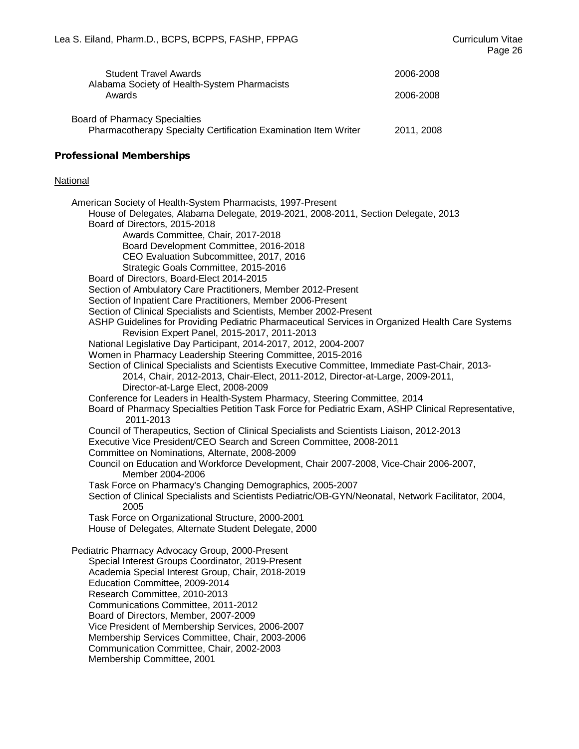| <b>Student Travel Awards</b>                                                                                                                                                                                                                                                                                                                                                                                                                                                                                                                                                                                                                                                                                                                                                                                                                                                                                                                                                                                                                                                                                                                                                                                                                                                                                                                                                                                              | 2006-2008  |
|---------------------------------------------------------------------------------------------------------------------------------------------------------------------------------------------------------------------------------------------------------------------------------------------------------------------------------------------------------------------------------------------------------------------------------------------------------------------------------------------------------------------------------------------------------------------------------------------------------------------------------------------------------------------------------------------------------------------------------------------------------------------------------------------------------------------------------------------------------------------------------------------------------------------------------------------------------------------------------------------------------------------------------------------------------------------------------------------------------------------------------------------------------------------------------------------------------------------------------------------------------------------------------------------------------------------------------------------------------------------------------------------------------------------------|------------|
| Alabama Society of Health-System Pharmacists<br>Awards                                                                                                                                                                                                                                                                                                                                                                                                                                                                                                                                                                                                                                                                                                                                                                                                                                                                                                                                                                                                                                                                                                                                                                                                                                                                                                                                                                    | 2006-2008  |
| <b>Board of Pharmacy Specialties</b><br>Pharmacotherapy Specialty Certification Examination Item Writer                                                                                                                                                                                                                                                                                                                                                                                                                                                                                                                                                                                                                                                                                                                                                                                                                                                                                                                                                                                                                                                                                                                                                                                                                                                                                                                   | 2011, 2008 |
| <b>Professional Memberships</b>                                                                                                                                                                                                                                                                                                                                                                                                                                                                                                                                                                                                                                                                                                                                                                                                                                                                                                                                                                                                                                                                                                                                                                                                                                                                                                                                                                                           |            |
| <b>National</b>                                                                                                                                                                                                                                                                                                                                                                                                                                                                                                                                                                                                                                                                                                                                                                                                                                                                                                                                                                                                                                                                                                                                                                                                                                                                                                                                                                                                           |            |
| American Society of Health-System Pharmacists, 1997-Present<br>House of Delegates, Alabama Delegate, 2019-2021, 2008-2011, Section Delegate, 2013<br>Board of Directors, 2015-2018<br>Awards Committee, Chair, 2017-2018<br>Board Development Committee, 2016-2018<br>CEO Evaluation Subcommittee, 2017, 2016<br>Strategic Goals Committee, 2015-2016<br>Board of Directors, Board-Elect 2014-2015<br>Section of Ambulatory Care Practitioners, Member 2012-Present<br>Section of Inpatient Care Practitioners, Member 2006-Present<br>Section of Clinical Specialists and Scientists, Member 2002-Present<br>ASHP Guidelines for Providing Pediatric Pharmaceutical Services in Organized Health Care Systems<br>Revision Expert Panel, 2015-2017, 2011-2013<br>National Legislative Day Participant, 2014-2017, 2012, 2004-2007<br>Women in Pharmacy Leadership Steering Committee, 2015-2016<br>Section of Clinical Specialists and Scientists Executive Committee, Immediate Past-Chair, 2013-<br>2014, Chair, 2012-2013, Chair-Elect, 2011-2012, Director-at-Large, 2009-2011,<br>Director-at-Large Elect, 2008-2009<br>Conference for Leaders in Health-System Pharmacy, Steering Committee, 2014<br>Board of Pharmacy Specialties Petition Task Force for Pediatric Exam, ASHP Clinical Representative,<br>2011-2013<br>Council of Therapeutics, Section of Clinical Specialists and Scientists Liaison, 2012-2013 |            |
| Executive Vice President/CEO Search and Screen Committee, 2008-2011<br>Committee on Nominations, Alternate, 2008-2009                                                                                                                                                                                                                                                                                                                                                                                                                                                                                                                                                                                                                                                                                                                                                                                                                                                                                                                                                                                                                                                                                                                                                                                                                                                                                                     |            |
| $1.01 \cdot 2.002700001101 \cdot 20000002$<br>$\blacksquare$ . $\blacksquare$ . $\blacksquare$ . $\blacksquare$ . $\blacksquare$ . $\blacksquare$ . $\blacksquare$ . $\blacksquare$                                                                                                                                                                                                                                                                                                                                                                                                                                                                                                                                                                                                                                                                                                                                                                                                                                                                                                                                                                                                                                                                                                                                                                                                                                       |            |

Council on Education and Workforce Development, Chair 2007-2008, Vice-Chair 2006-2007,

Member 2004-2006

Task Force on Pharmacy's Changing Demographics, 2005-2007

Section of Clinical Specialists and Scientists Pediatric/OB-GYN/Neonatal, Network Facilitator, 2004, 2005

Task Force on Organizational Structure, 2000-2001 House of Delegates, Alternate Student Delegate, 2000

Pediatric Pharmacy Advocacy Group, 2000-Present Special Interest Groups Coordinator, 2019-Present Academia Special Interest Group, Chair, 2018-2019 Education Committee, 2009-2014 Research Committee, 2010-2013 Communications Committee, 2011-2012 Board of Directors, Member, 2007-2009 Vice President of Membership Services, 2006-2007 Membership Services Committee, Chair, 2003-2006 Communication Committee, Chair, 2002-2003 Membership Committee, 2001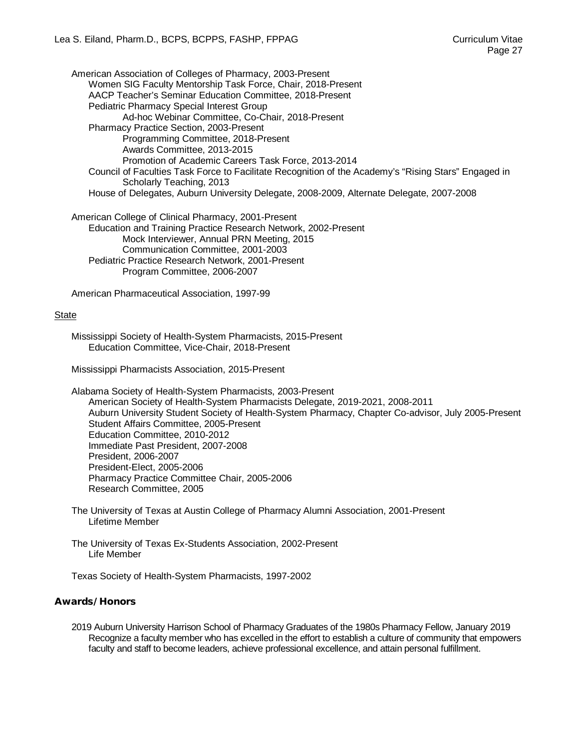American Association of Colleges of Pharmacy, 2003-Present Women SIG Faculty Mentorship Task Force, Chair, 2018-Present AACP Teacher's Seminar Education Committee, 2018-Present Pediatric Pharmacy Special Interest Group Ad-hoc Webinar Committee, Co-Chair, 2018-Present Pharmacy Practice Section, 2003-Present Programming Committee, 2018-Present Awards Committee, 2013-2015 Promotion of Academic Careers Task Force, 2013-2014 Council of Faculties Task Force to Facilitate Recognition of the Academy's "Rising Stars" Engaged in Scholarly Teaching, 2013 House of Delegates, Auburn University Delegate, 2008-2009, Alternate Delegate, 2007-2008

American College of Clinical Pharmacy, 2001-Present Education and Training Practice Research Network, 2002-Present Mock Interviewer, Annual PRN Meeting, 2015 Communication Committee, 2001-2003 Pediatric Practice Research Network, 2001-Present Program Committee, 2006-2007

American Pharmaceutical Association, 1997-99

#### State

Mississippi Society of Health-System Pharmacists, 2015-Present Education Committee, Vice-Chair, 2018-Present

Mississippi Pharmacists Association, 2015-Present

Alabama Society of Health-System Pharmacists, 2003-Present American Society of Health-System Pharmacists Delegate, 2019-2021, 2008-2011 Auburn University Student Society of Health-System Pharmacy, Chapter Co-advisor, July 2005-Present Student Affairs Committee, 2005-Present Education Committee, 2010-2012 Immediate Past President, 2007-2008 President, 2006-2007 President-Elect, 2005-2006 Pharmacy Practice Committee Chair, 2005-2006 Research Committee, 2005

The University of Texas at Austin College of Pharmacy Alumni Association, 2001-Present Lifetime Member

The University of Texas Ex-Students Association, 2002-Present Life Member

Texas Society of Health-System Pharmacists, 1997-2002

#### Awards/ Honors

2019 Auburn University Harrison School of Pharmacy Graduates of the 1980s Pharmacy Fellow, January 2019 Recognize a faculty member who has excelled in the effort to establish a culture of community that empowers faculty and staff to become leaders, achieve professional excellence, and attain personal fulfillment.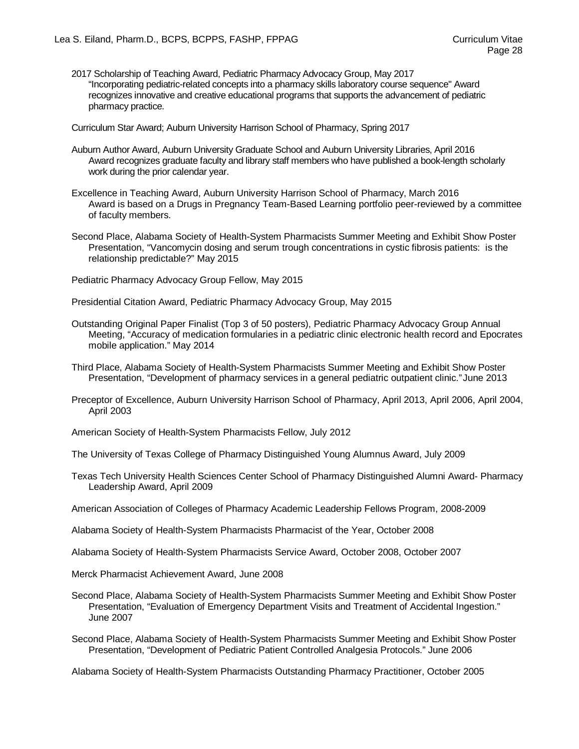2017 Scholarship of Teaching Award, Pediatric Pharmacy Advocacy Group, May 2017 "Incorporating pediatric-related concepts into a pharmacy skills laboratory course sequence" Award recognizes innovative and creative educational programs that supports the advancement of pediatric pharmacy practice.

Curriculum Star Award; Auburn University Harrison School of Pharmacy, Spring 2017

- Auburn Author Award, Auburn University Graduate School and Auburn University Libraries, April 2016 Award recognizes graduate faculty and library staff members who have published a book-length scholarly work during the prior calendar year.
- Excellence in Teaching Award, Auburn University Harrison School of Pharmacy, March 2016 Award is based on a Drugs in Pregnancy Team-Based Learning portfolio peer-reviewed by a committee of faculty members.
- Second Place, Alabama Society of Health-System Pharmacists Summer Meeting and Exhibit Show Poster Presentation, "Vancomycin dosing and serum trough concentrations in cystic fibrosis patients: is the relationship predictable?" May 2015

Pediatric Pharmacy Advocacy Group Fellow, May 2015

Presidential Citation Award, Pediatric Pharmacy Advocacy Group, May 2015

- Outstanding Original Paper Finalist (Top 3 of 50 posters), Pediatric Pharmacy Advocacy Group Annual Meeting, "Accuracy of medication formularies in a pediatric clinic electronic health record and Epocrates mobile application." May 2014
- Third Place, Alabama Society of Health-System Pharmacists Summer Meeting and Exhibit Show Poster Presentation, "Development of pharmacy services in a general pediatric outpatient clinic."June 2013
- Preceptor of Excellence, Auburn University Harrison School of Pharmacy, April 2013, April 2006, April 2004, April 2003
- American Society of Health-System Pharmacists Fellow, July 2012

The University of Texas College of Pharmacy Distinguished Young Alumnus Award, July 2009

- Texas Tech University Health Sciences Center School of Pharmacy Distinguished Alumni Award- Pharmacy Leadership Award, April 2009
- American Association of Colleges of Pharmacy Academic Leadership Fellows Program, 2008-2009

Alabama Society of Health-System Pharmacists Pharmacist of the Year, October 2008

Alabama Society of Health-System Pharmacists Service Award, October 2008, October 2007

Merck Pharmacist Achievement Award, June 2008

Second Place, Alabama Society of Health-System Pharmacists Summer Meeting and Exhibit Show Poster Presentation, "Evaluation of Emergency Department Visits and Treatment of Accidental Ingestion." June 2007

Second Place, Alabama Society of Health-System Pharmacists Summer Meeting and Exhibit Show Poster Presentation, "Development of Pediatric Patient Controlled Analgesia Protocols." June 2006

Alabama Society of Health-System Pharmacists Outstanding Pharmacy Practitioner, October 2005